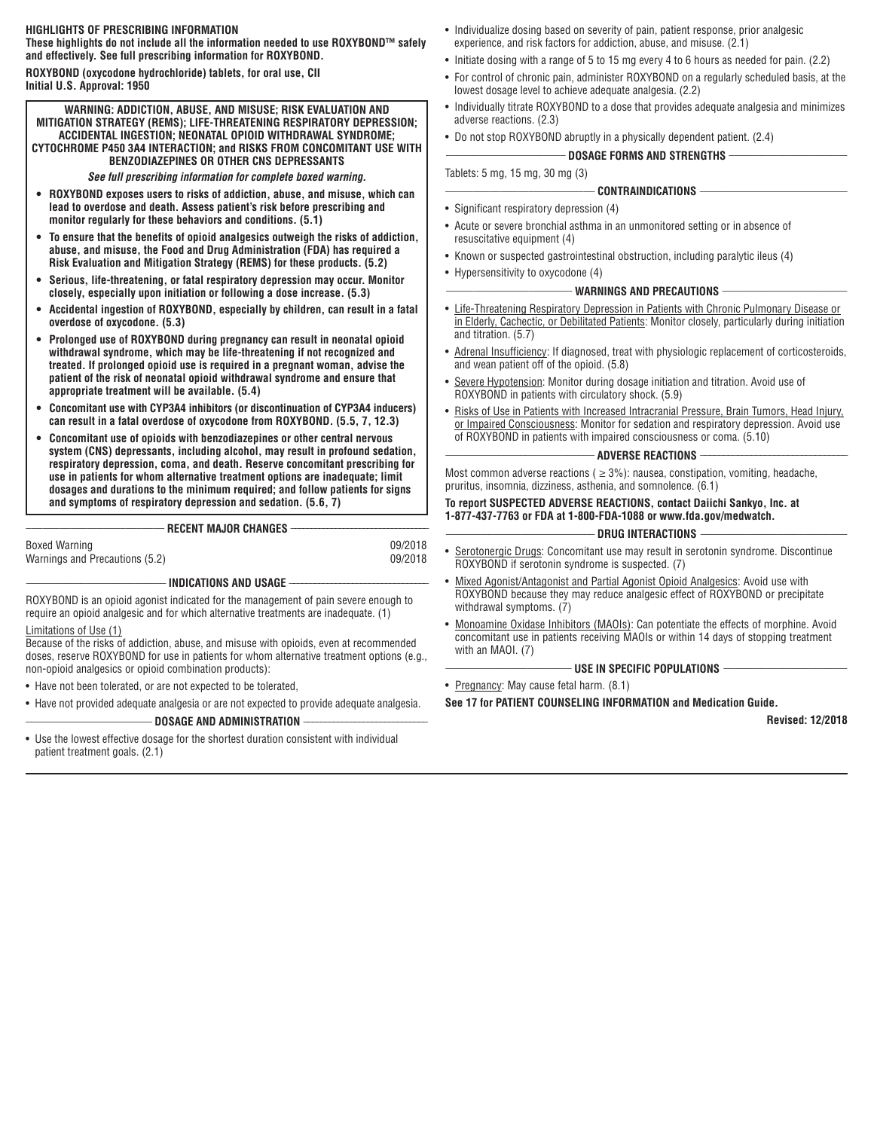### **HIGHLIGHTS OF PRESCRIBING INFORMATION**

**These highlights do not include all the information needed to use ROXYBOND™ safely and effectively. See full prescribing information for ROXYBOND.** 

**ROXYBOND (oxycodone hydrochloride) tablets, for oral use, CII Initial U.S. Approval: 1950**

**WARNING: ADDICTION, ABUSE, AND MISUSE; RISK EVALUATION AND MITIGATION STRATEGY (REMS); LIFE-THREATENING RESPIRATORY DEPRESSION; ACCIDENTAL INGESTION; NEONATAL OPIOID WITHDRAWAL SYNDROME; CYTOCHROME P450 3A4 INTERACTION; and RISKS FROM CONCOMITANT USE WITH BENZODIAZEPINES OR OTHER CNS DEPRESSANTS** 

**See full prescribing information for complete boxed warning.** 

- **ROXYBOND exposes users to risks of addiction, abuse, and misuse, which can lead to overdose and death. Assess patient's risk before prescribing and monitor regularly for these behaviors and conditions. (5.1)**
- **To ensure that the benefits of opioid analgesics outweigh the risks of addiction, abuse, and misuse, the Food and Drug Administration (FDA) has required a Risk Evaluation and Mitigation Strategy (REMS) for these products. (5.2)**
- **Serious, life-threatening, or fatal respiratory depression may occur. Monitor closely, especially upon initiation or following a dose increase. (5.3)**
- **Accidental ingestion of ROXYBOND, especially by children, can result in a fatal overdose of oxycodone. (5.3)**
- **Prolonged use of ROXYBOND during pregnancy can result in neonatal opioid withdrawal syndrome, which may be life-threatening if not recognized and treated. If prolonged opioid use is required in a pregnant woman, advise the patient of the risk of neonatal opioid withdrawal syndrome and ensure that appropriate treatment will be available. (5.4)**
- **Concomitant use with CYP3A4 inhibitors (or discontinuation of CYP3A4 inducers) can result in a fatal overdose of oxycodone from ROXYBOND. (5.5, 7, 12.3)**
- **Concomitant use of opioids with benzodiazepines or other central nervous system (CNS) depressants, including alcohol, may result in profound sedation, respiratory depression, coma, and death. Reserve concomitant prescribing for use in patients for whom alternative treatment options are inadequate; limit dosages and durations to the minimum required; and follow patients for signs and symptoms of respiratory depression and sedation. (5.6, 7)**

#### RECENT MAJOR CHANGES

*Boxed Warning 09/2018 Warnings and Precautions (5.2)* **\_\_\_\_\_\_\_\_\_\_\_\_\_\_\_\_\_\_\_\_\_\_\_\_\_\_ INDICATIONS AND USAGE \_\_\_\_\_\_\_\_\_\_\_\_\_\_\_\_\_\_\_\_\_\_\_\_\_\_\_\_\_\_\_\_\_** 

*ROXYBOND is an opioid agonist indicated for the management of pain severe enough to require an opioid analgesic and for which alternative treatments are inadequate. (1)* 

#### *Limitations of Use (1)*

*Because of the risks of addiction, abuse, and misuse with opioids, even at recommended doses, reserve ROXYBOND for use in patients for whom alternative treatment options (e.g., non-opioid analgesics or opioid combination products):* 

- *Have not been tolerated, or are not expected to be tolerated,*
- *Have not provided adequate analgesia or are not expected to provide adequate analgesia.*

### DOSAGE AND ADMINISTRATION

*• Use the lowest effective dosage for the shortest duration consistent with individual patient treatment goals. (2.1)* 

- *Individualize dosing based on severity of pain, patient response, prior analgesic experience, and risk factors for addiction, abuse, and misuse. (2.1)*
- *Initiate dosing with a range of 5 to 15 mg every 4 to 6 hours as needed for pain. (2.2)*
- *For control of chronic pain, administer ROXYBOND on a regularly scheduled basis, at the lowest dosage level to achieve adequate analgesia. (2.2)*
- *Individually titrate ROXYBOND to a dose that provides adequate analgesia and minimizes adverse reactions. (2.3)*
- *Do not stop ROXYBOND abruptly in a physically dependent patient. (2.4)*  DOSAGE FORMS AND STRENGTHS

### *Tablets: 5 mg, 15 mg, 30 mg (3)*

### $\cdot$  CONTRAINDICATIONS

- *Significant respiratory depression (4)*
- *Acute or severe bronchial asthma in an unmonitored setting or in absence of resuscitative equipment (4)*
- *Known or suspected gastrointestinal obstruction, including paralytic ileus (4)*
- *Hypersensitivity to oxycodone (4)*

### WARNINGS AND PRECAUTIONS

- *Life-Threatening Respiratory Depression in Patients with Chronic Pulmonary Disease or in Elderly, Cachectic, or Debilitated Patients: Monitor closely, particularly during initiation and titration. (5.7)*
- *Adrenal Insufficiency: If diagnosed, treat with physiologic replacement of corticosteroids, and wean patient off of the opioid. (5.8)*
- *Severe Hypotension: Monitor during dosage initiation and titration. Avoid use of ROXYBOND in patients with circulatory shock. (5.9)*
- *Risks of Use in Patients with Increased Intracranial Pressure, Brain Tumors, Head Injury, or Impaired Consciousness: Monitor for sedation and respiratory depression. Avoid use of ROXYBOND in patients with impaired consciousness or coma. (5.10)*

### $\blacksquare$  ADVERSE REACTIONS

*Most common adverse reactions (* ≥ *3%): nausea, constipation, vomiting, headache, pruritus, insomnia, dizziness, asthenia, and somnolence. (6.1)* 

### **To report SUSPECTED ADVERSE REACTIONS, contact Daiichi Sankyo, Inc. at 1-877-437-7763 or FDA at 1-800-FDA-1088 or www.fda.gov/medwatch.**

### DRUG INTERACTIONS

- *Serotonergic Drugs: Concomitant use may result in serotonin syndrome. Discontinue ROXYBOND if serotonin syndrome is suspected. (7)*
- *Mixed Agonist/Antagonist and Partial Agonist Opioid Analgesics: Avoid use with ROXYBOND because they may reduce analgesic effect of ROXYBOND or precipitate withdrawal symptoms. (7)*
- *Monoamine Oxidase Inhibitors (MAOIs): Can potentiate the effects of morphine. Avoid concomitant use in patients receiving MAOIs or within 14 days of stopping treatment with an MAOI. (7)*

### USE IN SPECIFIC POPULATIONS

*• Pregnancy: May cause fetal harm. (8.1)* 

**See 17 for PATIENT COUNSELING INFORMATION and Medication Guide.** 

**Revised: 12/2018**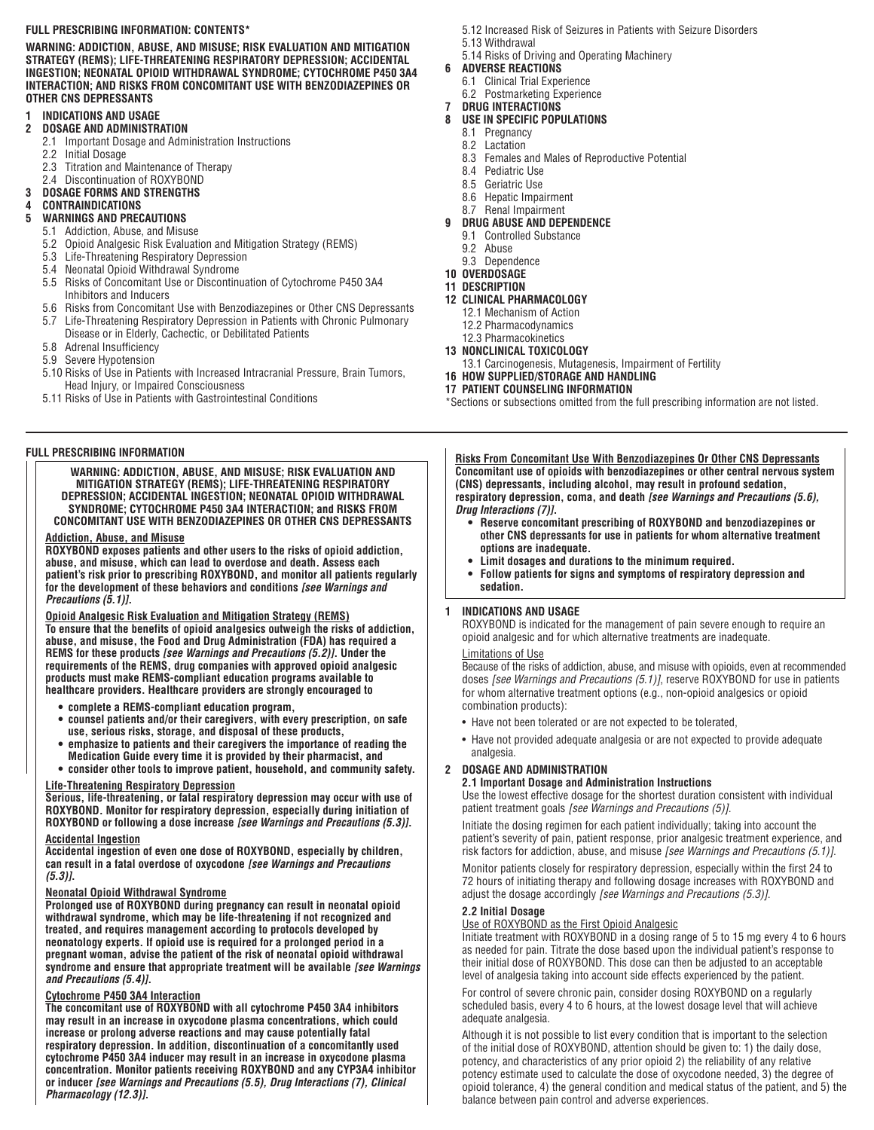#### **FULL PRESCRIBING INFORMATION: CONTENTS\***

**WARNING: ADDICTION, ABUSE, AND MISUSE; RISK EVALUATION AND MITIGATION STRATEGY (REMS); LIFE-THREATENING RESPIRATORY DEPRESSION; ACCIDENTAL INGESTION; NEONATAL OPIOID WITHDRAWAL SYNDROME; CYTOCHROME P450 3A4 INTERACTION; AND RISKS FROM CONCOMITANT USE WITH BENZODIAZEPINES OR OTHER CNS DEPRESSANTS** 

# **1 INDICATIONS AND USAGE**

- **2 DOSAGE AND ADMINISTRATION** 
	- *2.1 Important Dosage and Administration Instructions 2.2 Initial Dosage*
	-
	- *2.3 Titration and Maintenance of Therapy*
- *2.4 Discontinuation of ROXYBOND*  **3 DOSAGE FORMS AND STRENGTHS**

#### **4 CONTRAINDICATIONS 5 WARNINGS AND PRECAUTIONS**

- *5.1 Addiction, Abuse, and Misuse*
- *5.2 Opioid Analgesic Risk Evaluation and Mitigation Strategy (REMS)*
- *5.3 Life-Threatening Respiratory Depression*
- *5.4 Neonatal Opioid Withdrawal Syndrome*
- *5.5 Risks of Concomitant Use or Discontinuation of Cytochrome P450 3A4 Inhibitors and Inducers*
- *5.6 Risks from Concomitant Use with Benzodiazepines or Other CNS Depressants*
- *5.7 Life-Threatening Respiratory Depression in Patients with Chronic Pulmonary Disease or in Elderly, Cachectic, or Debilitated Patients*
- *5.8 Adrenal Insufficiency*
- *5.9 Severe Hypotension*
- *5.10 Risks of Use in Patients with Increased Intracranial Pressure, Brain Tumors, Head Injury, or Impaired Consciousness*
- *5.11 Risks of Use in Patients with Gastrointestinal Conditions*

#### **FULL PRESCRIBING INFORMATION**

**WARNING: ADDICTION, ABUSE, AND MISUSE; RISK EVALUATION AND MITIGATION STRATEGY (REMS); LIFE-THREATENING RESPIRATORY DEPRESSION; ACCIDENTAL INGESTION; NEONATAL OPIOID WITHDRAWAL SYNDROME; CYTOCHROME P450 3A4 INTERACTION; and RISKS FROM CONCOMITANT USE WITH BENZODIAZEPINES OR OTHER CNS DEPRESSANTS** 

#### **Addiction, Abuse, and Misuse**

**ROXYBOND exposes patients and other users to the risks of opioid addiction, abuse, and misuse, which can lead to overdose and death. Assess each patient's risk prior to prescribing ROXYBOND, and monitor all patients regularly for the development of these behaviors and conditions [see Warnings and Precautions (5.1)].** 

**Opioid Analgesic Risk Evaluation and Mitigation Strategy (REMS) To ensure that the benefits of opioid analgesics outweigh the risks of addiction, abuse, and misuse, the Food and Drug Administration (FDA) has required a REMS for these products [see Warnings and Precautions (5.2)]. Under the requirements of the REMS, drug companies with approved opioid analgesic products must make REMS-compliant education programs available to healthcare providers. Healthcare providers are strongly encouraged to** 

- **complete a REMS-compliant education program,**
- **counsel patients and/or their caregivers, with every prescription, on safe use, serious risks, storage, and disposal of these products,**
- **emphasize to patients and their caregivers the importance of reading the Medication Guide every time it is provided by their pharmacist, and** 
	- **consider other tools to improve patient, household, and community safety.**

#### **Life-Threatening Respiratory Depression**

**Serious, life-threatening, or fatal respiratory depression may occur with use of ROXYBOND. Monitor for respiratory depression, especially during initiation of ROXYBOND or following a dose increase [see Warnings and Precautions (5.3)].** 

#### **Accidental Ingestion**

**Accidental ingestion of even one dose of ROXYBOND, especially by children, can result in a fatal overdose of oxycodone [see Warnings and Precautions (5.3)].** 

#### **Neonatal Opioid Withdrawal Syndrome**

**Prolonged use of ROXYBOND during pregnancy can result in neonatal opioid withdrawal syndrome, which may be life-threatening if not recognized and treated, and requires management according to protocols developed by neonatology experts. If opioid use is required for a prolonged period in a pregnant woman, advise the patient of the risk of neonatal opioid withdrawal syndrome and ensure that appropriate treatment will be available [see Warnings and Precautions (5.4)].** 

#### **Cytochrome P450 3A4 Interaction**

**The concomitant use of ROXYBOND with all cytochrome P450 3A4 inhibitors may result in an increase in oxycodone plasma concentrations, which could increase or prolong adverse reactions and may cause potentially fatal respiratory depression. In addition, discontinuation of a concomitantly used cytochrome P450 3A4 inducer may result in an increase in oxycodone plasma concentration. Monitor patients receiving ROXYBOND and any CYP3A4 inhibitor or inducer [see Warnings and Precautions (5.5), Drug Interactions (7), Clinical Pharmacology (12.3)].**

- *5.12 Increased Risk of Seizures in Patients with Seizure Disorders*
- *5.13 Withdrawal*
- *5.14 Risks of Driving and Operating Machinery*
- **6 ADVERSE REACTIONS**
- *6.1 Clinical Trial Experience*
- *6.2 Postmarketing Experience*

## **7 DRUG INTERACTIONS**

- **8 USE IN SPECIFIC POPULATIONS** 
	- *8.1 Pregnancy*
	- *8.2 Lactation*
	- *8.3 Females and Males of Reproductive Potential 8.4 Pediatric Use*
	-
	- *8.5 Geriatric Use 8.6 Hepatic Impairment*
	- *8.7 Renal Impairment*
- **9 DRUG ABUSE AND DEPENDENCE** 
	- *9.1 Controlled Substance*
	- *9.2 Abuse*
	- *9.3 Dependence*
- **10 OVERDOSAGE**

### **11 DESCRIPTION**

- **12 CLINICAL PHARMACOLOGY** 
	- *12.1 Mechanism of Action*
	- *12.2 Pharmacodynamics*
	- *12.3 Pharmacokinetics*
- **13 NONCLINICAL TOXICOLOGY**
- *13.1 Carcinogenesis, Mutagenesis, Impairment of Fertility*
- **16 HOW SUPPLIED/STORAGE AND HANDLING**
- **17 PATIENT COUNSELING INFORMATION**
- *\*Sections or subsections omitted from the full prescribing information are not listed.*

**Risks From Concomitant Use With Benzodiazepines Or Other CNS Depressants Concomitant use of opioids with benzodiazepines or other central nervous system (CNS) depressants, including alcohol, may result in profound sedation, respiratory depression, coma, and death [see Warnings and Precautions (5.6), Drug Interactions (7)].** 

- **Reserve concomitant prescribing of ROXYBOND and benzodiazepines or other CNS depressants for use in patients for whom alternative treatment options are inadequate.**
- **Limit dosages and durations to the minimum required.**
- **Follow patients for signs and symptoms of respiratory depression and sedation.**

#### **1 INDICATIONS AND USAGE**

*ROXYBOND is indicated for the management of pain severe enough to require an opioid analgesic and for which alternative treatments are inadequate.* 

#### *Limitations of Use*

*Because of the risks of addiction, abuse, and misuse with opioids, even at recommended doses [see Warnings and Precautions (5.1)], reserve ROXYBOND for use in patients for whom alternative treatment options (e.g., non-opioid analgesics or opioid combination products):* 

- *Have not been tolerated or are not expected to be tolerated,*
- *Have not provided adequate analgesia or are not expected to provide adequate analgesia.*

#### **2 DOSAGE AND ADMINISTRATION**

#### **2.1 Important Dosage and Administration Instructions**

*Use the lowest effective dosage for the shortest duration consistent with individual patient treatment goals [see Warnings and Precautions (5)].* 

*Initiate the dosing regimen for each patient individually; taking into account the patient's severity of pain, patient response, prior analgesic treatment experience, and risk factors for addiction, abuse, and misuse [see Warnings and Precautions (5.1)].* 

*Monitor patients closely for respiratory depression, especially within the first 24 to 72 hours of initiating therapy and following dosage increases with ROXYBOND and adjust the dosage accordingly [see Warnings and Precautions (5.3)].* 

#### **2.2 Initial Dosage**

*Use of ROXYBOND as the First Opioid Analgesic*

*Initiate treatment with ROXYBOND in a dosing range of 5 to 15 mg every 4 to 6 hours as needed for pain. Titrate the dose based upon the individual patient's response to their initial dose of ROXYBOND. This dose can then be adjusted to an acceptable*  level of analgesia taking into account side effects experienced by the patient.

For control of severe chronic pain, consider dosing ROXYBOND on a regularly *scheduled basis, every 4 to 6 hours, at the lowest dosage level that will achieve adequate analgesia.* 

*Although it is not possible to list every condition that is important to the selection of the initial dose of ROXYBOND, attention should be given to: 1) the daily dose, potency, and characteristics of any prior opioid 2) the reliability of any relative potency estimate used to calculate the dose of oxycodone needed, 3) the degree of opioid tolerance, 4) the general condition and medical status of the patient, and 5) the balance between pain control and adverse experiences.*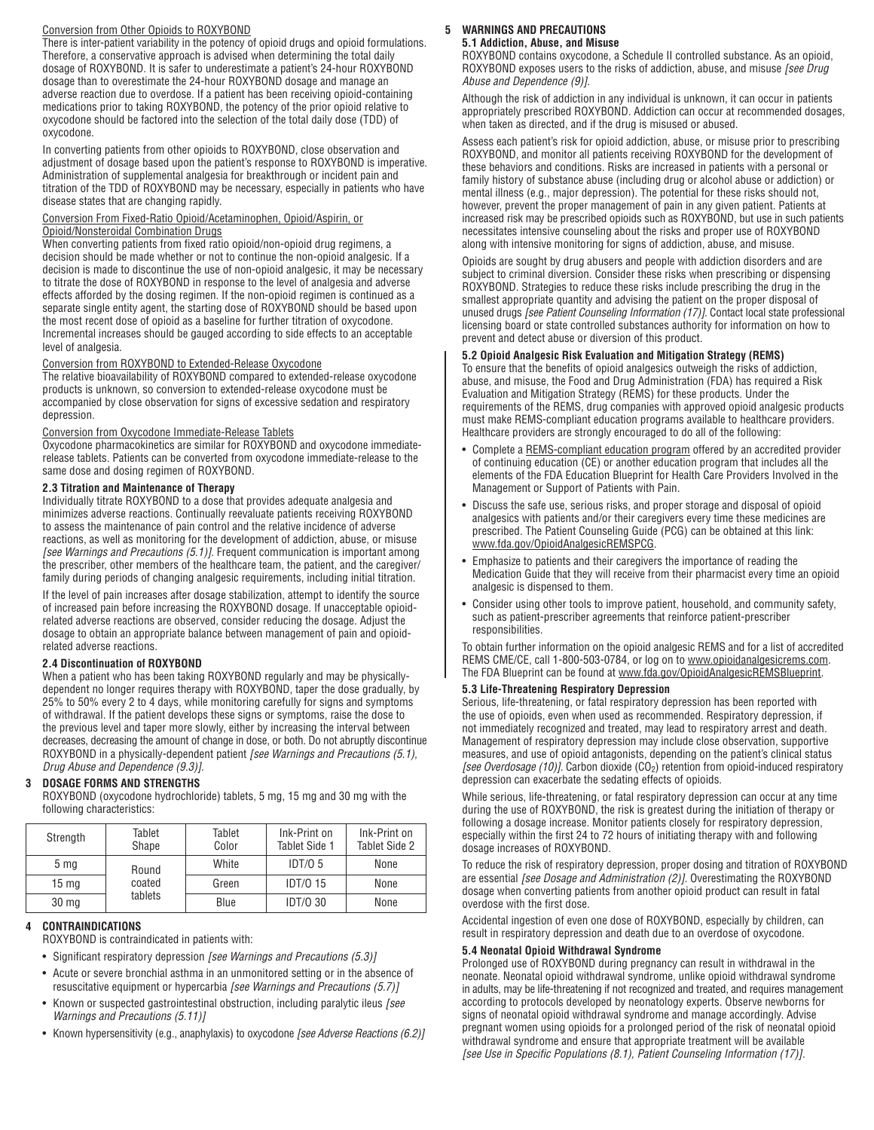#### *Conversion from Other Opioids to ROXYBOND*

*There is inter-patient variability in the potency of opioid drugs and opioid formulations. Therefore, a conservative approach is advised when determining the total daily dosage of ROXYBOND. It is safer to underestimate a patient's 24-hour ROXYBOND dosage than to overestimate the 24-hour ROXYBOND dosage and manage an adverse reaction due to overdose. If a patient has been receiving opioid-containing medications prior to taking ROXYBOND, the potency of the prior opioid relative to oxycodone should be factored into the selection of the total daily dose (TDD) of oxycodone.* 

*In converting patients from other opioids to ROXYBOND, close observation and adjustment of dosage based upon the patient's response to ROXYBOND is imperative. Administration of supplemental analgesia for breakthrough or incident pain and titration of the TDD of ROXYBOND may be necessary, especially in patients who have disease states that are changing rapidly.* 

#### *Conversion From Fixed-Ratio Opioid/Acetaminophen, Opioid/Aspirin, or Opioid/Nonsteroidal Combination Drugs*

*When converting patients from fixed ratio opioid/non-opioid drug regimens, a decision should be made whether or not to continue the non-opioid analgesic. If a decision is made to discontinue the use of non-opioid analgesic, it may be necessary to titrate the dose of ROXYBOND in response to the level of analgesia and adverse effects afforded by the dosing regimen. If the non-opioid regimen is continued as a separate single entity agent, the starting dose of ROXYBOND should be based upon the most recent dose of opioid as a baseline for further titration of oxycodone. Incremental increases should be gauged according to side effects to an acceptable level of analgesia.* 

#### *Conversion from ROXYBOND to Extended-Release Oxycodone*

*The relative bioavailability of ROXYBOND compared to extended-release oxycodone products is unknown, so conversion to extended-release oxycodone must be accompanied by close observation for signs of excessive sedation and respiratory depression.* 

#### *Conversion from Oxycodone Immediate-Release Tablets*

*Oxycodone pharmacokinetics are similar for ROXYBOND and oxycodone immediaterelease tablets. Patients can be converted from oxycodone immediate-release to the same dose and dosing regimen of ROXYBOND.* 

### **2.3 Titration and Maintenance of Therapy**

*Individually titrate ROXYBOND to a dose that provides adequate analgesia and minimizes adverse reactions. Continually reevaluate patients receiving ROXYBOND to assess the maintenance of pain control and the relative incidence of adverse reactions, as well as monitoring for the development of addiction, abuse, or misuse [see Warnings and Precautions (5.1)]. Frequent communication is important among the prescriber, other members of the healthcare team, the patient, and the caregiver/ family during periods of changing analgesic requirements, including initial titration.* 

*If the level of pain increases after dosage stabilization, attempt to identify the source of increased pain before increasing the ROXYBOND dosage. If unacceptable opioidrelated adverse reactions are observed, consider reducing the dosage. Adjust the dosage to obtain an appropriate balance between management of pain and opioidrelated adverse reactions.* 

### **2.4 Discontinuation of ROXYBOND**

*When a patient who has been taking ROXYBOND regularly and may be physicallydependent no longer requires therapy with ROXYBOND, taper the dose gradually, by 25% to 50% every 2 to 4 days, while monitoring carefully for signs and symptoms of withdrawal. If the patient develops these signs or symptoms, raise the dose to the previous level and taper more slowly, either by increasing the interval between decreases, decreasing the amount of change in dose, or both. Do not abruptly discontinue ROXYBOND in a physically-dependent patient [see Warnings and Precautions (5.1), Drug Abuse and Dependence (9.3)].* 

#### **3 DOSAGE FORMS AND STRENGTHS**

*ROXYBOND (oxycodone hydrochloride) tablets, 5 mg, 15 mg and 30 mg with the following characteristics:* 

| Strength         | Tablet<br>Shape | Tablet<br>Color | Ink-Print on<br>Tablet Side 1 | Ink-Print on<br>Tablet Side 2 |
|------------------|-----------------|-----------------|-------------------------------|-------------------------------|
| 5 <sub>mg</sub>  | Round           | White           | IDT/O <sub>5</sub>            | None                          |
| 15 <sub>mg</sub> | coated          | Green           | <b>IDT/0 15</b>               | None                          |
| 30 <sub>mg</sub> | tablets         | Blue            | <b>IDT/0 30</b>               | None                          |

#### **4 CONTRAINDICATIONS**

*ROXYBOND is contraindicated in patients with:* 

- *Significant respiratory depression [see Warnings and Precautions (5.3)]*
- *Acute or severe bronchial asthma in an unmonitored setting or in the absence of resuscitative equipment or hypercarbia [see Warnings and Precautions (5.7)]*
- *Known or suspected gastrointestinal obstruction, including paralytic ileus [see Warnings and Precautions (5.11)]*
- Known hypersensitivity (e.g., anaphylaxis) to oxycodone [see Adverse Reactions (6.2)]

### **5 WARNINGS AND PRECAUTIONS**

#### **5.1 Addiction, Abuse, and Misuse**

*ROXYBOND contains oxycodone, a Schedule II controlled substance. As an opioid,*  ROXYBOND exposes users to the risks of addiction, abuse, and misuse *[see Drug*] *Abuse and Dependence (9)].* 

*Although the risk of addiction in any individual is unknown, it can occur in patients appropriately prescribed ROXYBOND. Addiction can occur at recommended dosages, when taken as directed, and if the drug is misused or abused.* 

*Assess each patient's risk for opioid addiction, abuse, or misuse prior to prescribing ROXYBOND, and monitor all patients receiving ROXYBOND for the development of these behaviors and conditions. Risks are increased in patients with a personal or family history of substance abuse (including drug or alcohol abuse or addiction) or mental illness (e.g., major depression). The potential for these risks should not,*  however, prevent the proper management of pain in any given patient. Patients at *increased risk may be prescribed opioids such as ROXYBOND, but use in such patients necessitates intensive counseling about the risks and proper use of ROXYBOND along with intensive monitoring for signs of addiction, abuse, and misuse.* 

*Opioids are sought by drug abusers and people with addiction disorders and are subject to criminal diversion. Consider these risks when prescribing or dispensing ROXYBOND. Strategies to reduce these risks include prescribing the drug in the smallest appropriate quantity and advising the patient on the proper disposal of unused drugs [see Patient Counseling Information (17)]. Contact local state professional licensing board or state controlled substances authority for information on how to prevent and detect abuse or diversion of this product.* 

### **5.2 Opioid Analgesic Risk Evaluation and Mitigation Strategy (REMS)**

*To ensure that the benefits of opioid analgesics outweigh the risks of addiction, abuse, and misuse, the Food and Drug Administration (FDA) has required a Risk Evaluation and Mitigation Strategy (REMS) for these products. Under the requirements of the REMS, drug companies with approved opioid analgesic products must make REMS-compliant education programs available to healthcare providers. Healthcare providers are strongly encouraged to do all of the following:* 

- *Complete a REMS-compliant education program offered by an accredited provider of continuing education (CE) or another education program that includes all the elements of the FDA Education Blueprint for Health Care Providers Involved in the Management or Support of Patients with Pain.*
- *Discuss the safe use, serious risks, and proper storage and disposal of opioid analgesics with patients and/or their caregivers every time these medicines are prescribed. The Patient Counseling Guide (PCG) can be obtained at this link: www.fda.gov/OpioidAnalgesicREMSPCG.*
- *Emphasize to patients and their caregivers the importance of reading the Medication Guide that they will receive from their pharmacist every time an opioid analgesic is dispensed to them.*
- *Consider using other tools to improve patient, household, and community safety, such as patient-prescriber agreements that reinforce patient-prescriber responsibilities.*

*To obtain further information on the opioid analgesic REMS and for a list of accredited REMS CME/CE, call 1-800-503-0784, or log on to www.opioidanalgesicrems.com. The FDA Blueprint can be found at www.fda.gov/OpioidAnalgesicREMSBlueprint.* 

#### **5.3 Life-Threatening Respiratory Depression**

*Serious, life-threatening, or fatal respiratory depression has been reported with*  the use of opioids, even when used as recommended. Respiratory depression, if *not immediately recognized and treated, may lead to respiratory arrest and death. Management of respiratory depression may include close observation, supportive measures, and use of opioid antagonists, depending on the patient's clinical status [see Overdosage (10)]. Carbon dioxide (CO2) retention from opioid-induced respiratory depression can exacerbate the sedating effects of opioids.* 

*While serious, life-threatening, or fatal respiratory depression can occur at any time during the use of ROXYBOND, the risk is greatest during the initiation of therapy or following a dosage increase. Monitor patients closely for respiratory depression, especially within the first 24 to 72 hours of initiating therapy with and following dosage increases of ROXYBOND.* 

*To reduce the risk of respiratory depression, proper dosing and titration of ROXYBOND are essential [see Dosage and Administration (2)]. Overestimating the ROXYBOND dosage when converting patients from another opioid product can result in fatal overdose with the first dose.* 

*Accidental ingestion of even one dose of ROXYBOND, especially by children, can result in respiratory depression and death due to an overdose of oxycodone.* 

#### **5.4 Neonatal Opioid Withdrawal Syndrome**

*Prolonged use of ROXYBOND during pregnancy can result in withdrawal in the neonate. Neonatal opioid withdrawal syndrome, unlike opioid withdrawal syndrome in adults, may be life-threatening if not recognized and treated, and requires management according to protocols developed by neonatology experts. Observe newborns for signs of neonatal opioid withdrawal syndrome and manage accordingly. Advise pregnant women using opioids for a prolonged period of the risk of neonatal opioid withdrawal syndrome and ensure that appropriate treatment will be available [see Use in Specific Populations (8.1), Patient Counseling Information (17)].*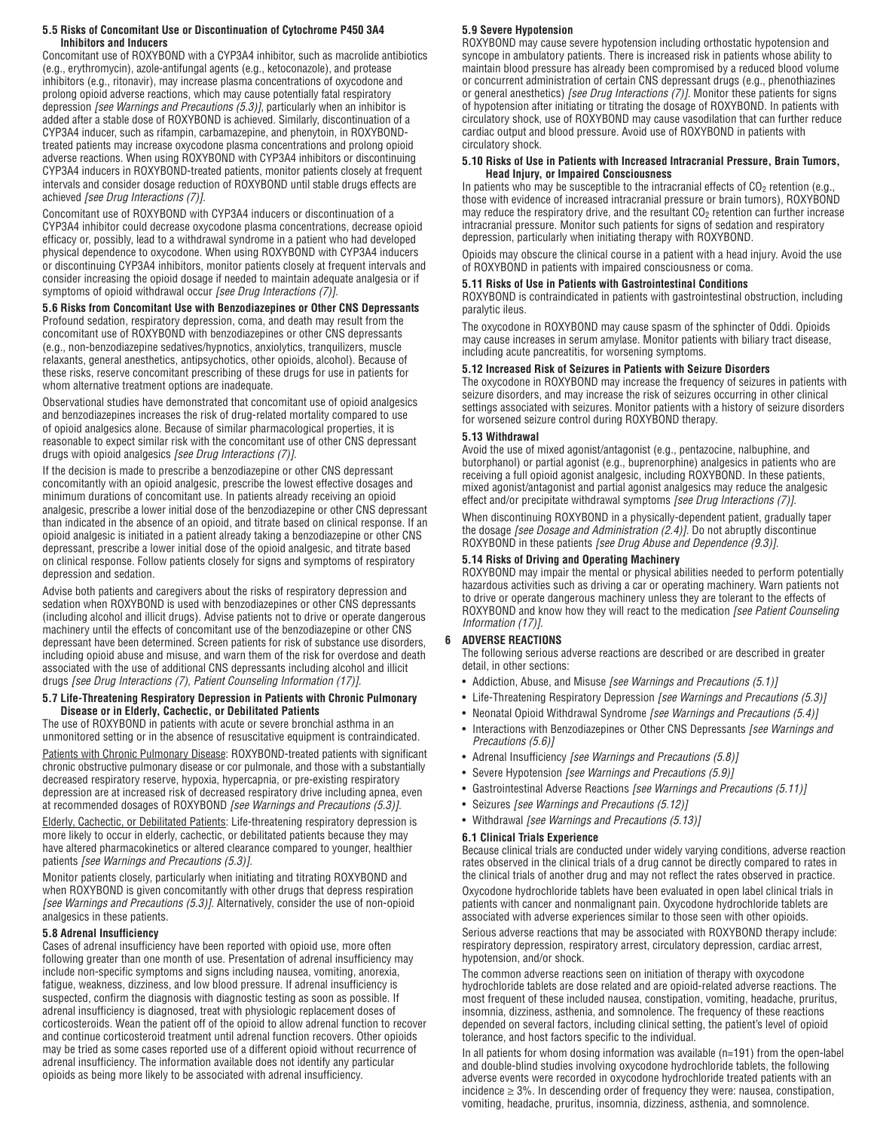#### **5.5 Risks of Concomitant Use or Discontinuation of Cytochrome P450 3A4 Inhibitors and Inducers**

*Concomitant use of ROXYBOND with a CYP3A4 inhibitor, such as macrolide antibiotics (e.g., erythromycin), azole-antifungal agents (e.g., ketoconazole), and protease inhibitors (e.g., ritonavir), may increase plasma concentrations of oxycodone and prolong opioid adverse reactions, which may cause potentially fatal respiratory depression [see Warnings and Precautions (5.3)], particularly when an inhibitor is added after a stable dose of ROXYBOND is achieved. Similarly, discontinuation of a CYP3A4 inducer, such as rifampin, carbamazepine, and phenytoin, in ROXYBONDtreated patients may increase oxycodone plasma concentrations and prolong opioid adverse reactions. When using ROXYBOND with CYP3A4 inhibitors or discontinuing CYP3A4 inducers in ROXYBOND-treated patients, monitor patients closely at frequent intervals and consider dosage reduction of ROXYBOND until stable drugs effects are achieved [see Drug Interactions (7)].* 

*Concomitant use of ROXYBOND with CYP3A4 inducers or discontinuation of a CYP3A4 inhibitor could decrease oxycodone plasma concentrations, decrease opioid efficacy or, possibly, lead to a withdrawal syndrome in a patient who had developed physical dependence to oxycodone. When using ROXYBOND with CYP3A4 inducers or discontinuing CYP3A4 inhibitors, monitor patients closely at frequent intervals and consider increasing the opioid dosage if needed to maintain adequate analgesia or if symptoms of opioid withdrawal occur [see Drug Interactions (7)].* 

#### **5.6 Risks from Concomitant Use with Benzodiazepines or Other CNS Depressants**

*Profound sedation, respiratory depression, coma, and death may result from the concomitant use of ROXYBOND with benzodiazepines or other CNS depressants (e.g., non-benzodiazepine sedatives/hypnotics, anxiolytics, tranquilizers, muscle relaxants, general anesthetics, antipsychotics, other opioids, alcohol). Because of these risks, reserve concomitant prescribing of these drugs for use in patients for whom alternative treatment options are inadequate.* 

*Observational studies have demonstrated that concomitant use of opioid analgesics and benzodiazepines increases the risk of drug-related mortality compared to use of opioid analgesics alone. Because of similar pharmacological properties, it is reasonable to expect similar risk with the concomitant use of other CNS depressant drugs with opioid analgesics [see Drug Interactions (7)].* 

*If the decision is made to prescribe a benzodiazepine or other CNS depressant concomitantly with an opioid analgesic, prescribe the lowest effective dosages and minimum durations of concomitant use. In patients already receiving an opioid analgesic, prescribe a lower initial dose of the benzodiazepine or other CNS depressant than indicated in the absence of an opioid, and titrate based on clinical response. If an opioid analgesic is initiated in a patient already taking a benzodiazepine or other CNS depressant, prescribe a lower initial dose of the opioid analgesic, and titrate based on clinical response. Follow patients closely for signs and symptoms of respiratory depression and sedation.* 

*Advise both patients and caregivers about the risks of respiratory depression and sedation when ROXYBOND is used with benzodiazepines or other CNS depressants (including alcohol and illicit drugs). Advise patients not to drive or operate dangerous machinery until the effects of concomitant use of the benzodiazepine or other CNS depressant have been determined. Screen patients for risk of substance use disorders, including opioid abuse and misuse, and warn them of the risk for overdose and death associated with the use of additional CNS depressants including alcohol and illicit drugs [see Drug Interactions (7), Patient Counseling Information (17)].* 

#### **5.7 Life-Threatening Respiratory Depression in Patients with Chronic Pulmonary Disease or in Elderly, Cachectic, or Debilitated Patients**

*The use of ROXYBOND in patients with acute or severe bronchial asthma in an unmonitored setting or in the absence of resuscitative equipment is contraindicated.* 

*Patients with Chronic Pulmonary Disease: ROXYBOND-treated patients with significant chronic obstructive pulmonary disease or cor pulmonale, and those with a substantially decreased respiratory reserve, hypoxia, hypercapnia, or pre-existing respiratory depression are at increased risk of decreased respiratory drive including apnea, even at recommended dosages of ROXYBOND [see Warnings and Precautions (5.3)].* 

*Elderly, Cachectic, or Debilitated Patients: Life-threatening respiratory depression is more likely to occur in elderly, cachectic, or debilitated patients because they may have altered pharmacokinetics or altered clearance compared to younger, healthier patients [see Warnings and Precautions (5.3)].* 

*Monitor patients closely, particularly when initiating and titrating ROXYBOND and when ROXYBOND is given concomitantly with other drugs that depress respiration [see Warnings and Precautions (5.3)]. Alternatively, consider the use of non-opioid analgesics in these patients.* 

#### **5.8 Adrenal Insufficiency**

*Cases of adrenal insufficiency have been reported with opioid use, more often following greater than one month of use. Presentation of adrenal insufficiency may include non-specific symptoms and signs including nausea, vomiting, anorexia, fatigue, weakness, dizziness, and low blood pressure. If adrenal insufficiency is suspected, confirm the diagnosis with diagnostic testing as soon as possible. If adrenal insufficiency is diagnosed, treat with physiologic replacement doses of corticosteroids. Wean the patient off of the opioid to allow adrenal function to recover and continue corticosteroid treatment until adrenal function recovers. Other opioids may be tried as some cases reported use of a different opioid without recurrence of adrenal insufficiency. The information available does not identify any particular opioids as being more likely to be associated with adrenal insufficiency.* 

#### **5.9 Severe Hypotension**

*ROXYBOND may cause severe hypotension including orthostatic hypotension and syncope in ambulatory patients. There is increased risk in patients whose ability to maintain blood pressure has already been compromised by a reduced blood volume or concurrent administration of certain CNS depressant drugs (e.g., phenothiazines or general anesthetics) [see Drug Interactions (7)]. Monitor these patients for signs of hypotension after initiating or titrating the dosage of ROXYBOND. In patients with circulatory shock, use of ROXYBOND may cause vasodilation that can further reduce cardiac output and blood pressure. Avoid use of ROXYBOND in patients with circulatory shock.* 

#### **5.10 Risks of Use in Patients with Increased Intracranial Pressure, Brain Tumors, Head Injury, or Impaired Consciousness**

In patients who may be susceptible to the intracranial effects of CO<sub>2</sub> retention (e.g., *those with evidence of increased intracranial pressure or brain tumors), ROXYBOND may reduce the respiratory drive, and the resultant CO<sub>2</sub> retention can further increase intracranial pressure. Monitor such patients for signs of sedation and respiratory depression, particularly when initiating therapy with ROXYBOND.* 

*Opioids may obscure the clinical course in a patient with a head injury. Avoid the use of ROXYBOND in patients with impaired consciousness or coma.* 

#### **5.11 Risks of Use in Patients with Gastrointestinal Conditions**

*ROXYBOND is contraindicated in patients with gastrointestinal obstruction, including paralytic ileus.* 

*The oxycodone in ROXYBOND may cause spasm of the sphincter of Oddi. Opioids may cause increases in serum amylase. Monitor patients with biliary tract disease, including acute pancreatitis, for worsening symptoms.* 

#### **5.12 Increased Risk of Seizures in Patients with Seizure Disorders**

*The oxycodone in ROXYBOND may increase the frequency of seizures in patients with seizure disorders, and may increase the risk of seizures occurring in other clinical settings associated with seizures. Monitor patients with a history of seizure disorders for worsened seizure control during ROXYBOND therapy.* 

#### **5.13 Withdrawal**

*Avoid the use of mixed agonist/antagonist (e.g., pentazocine, nalbuphine, and butorphanol) or partial agonist (e.g., buprenorphine) analgesics in patients who are receiving a full opioid agonist analgesic, including ROXYBOND. In these patients, mixed agonist/antagonist and partial agonist analgesics may reduce the analgesic effect and/or precipitate withdrawal symptoms [see Drug Interactions (7)].* 

*When discontinuing ROXYBOND in a physically-dependent patient, gradually taper the dosage [see Dosage and Administration (2.4)]. Do not abruptly discontinue ROXYBOND in these patients [see Drug Abuse and Dependence (9.3)].* 

#### **5.14 Risks of Driving and Operating Machinery**

*ROXYBOND may impair the mental or physical abilities needed to perform potentially hazardous activities such as driving a car or operating machinery. Warn patients not to drive or operate dangerous machinery unless they are tolerant to the effects of ROXYBOND and know how they will react to the medication [see Patient Counseling Information (17)].* 

#### **6 ADVERSE REACTIONS**

*The following serious adverse reactions are described or are described in greater detail, in other sections:* 

- *Addiction, Abuse, and Misuse [see Warnings and Precautions (5.1)]*
- *Life-Threatening Respiratory Depression [see Warnings and Precautions (5.3)]*
- *Neonatal Opioid Withdrawal Syndrome [see Warnings and Precautions (5.4)]*
- Interactions with Benzodiazepines or Other CNS Depressants [see Warnings and *Precautions (5.6)]*
- *Adrenal Insufficiency [see Warnings and Precautions (5.8)]*
- *Severe Hypotension [see Warnings and Precautions (5.9)]*
- *Gastrointestinal Adverse Reactions [see Warnings and Precautions (5.11)]*
- *Seizures [see Warnings and Precautions (5.12)]*
- *Withdrawal [see Warnings and Precautions (5.13)]*

#### **6.1 Clinical Trials Experience**

*Because clinical trials are conducted under widely varying conditions, adverse reaction*  rates observed in the clinical trials of a drug cannot be directly compared to rates in *the clinical trials of another drug and may not reflect the rates observed in practice. Oxycodone hydrochloride tablets have been evaluated in open label clinical trials in patients with cancer and nonmalignant pain. Oxycodone hydrochloride tablets are associated with adverse experiences similar to those seen with other opioids. Serious adverse reactions that may be associated with ROXYBOND therapy include: respiratory depression, respiratory arrest, circulatory depression, cardiac arrest, hypotension, and/or shock.* 

*The common adverse reactions seen on initiation of therapy with oxycodone hydrochloride tablets are dose related and are opioid-related adverse reactions. The most frequent of these included nausea, constipation, vomiting, headache, pruritus, insomnia, dizziness, asthenia, and somnolence. The frequency of these reactions depended on several factors, including clinical setting, the patient's level of opioid tolerance, and host factors specific to the individual.* 

*In all patients for whom dosing information was available (n=191) from the open-label and double-blind studies involving oxycodone hydrochloride tablets, the following adverse events were recorded in oxycodone hydrochloride treated patients with an incidence* ≥ *3%. In descending order of frequency they were: nausea, constipation, vomiting, headache, pruritus, insomnia, dizziness, asthenia, and somnolence.*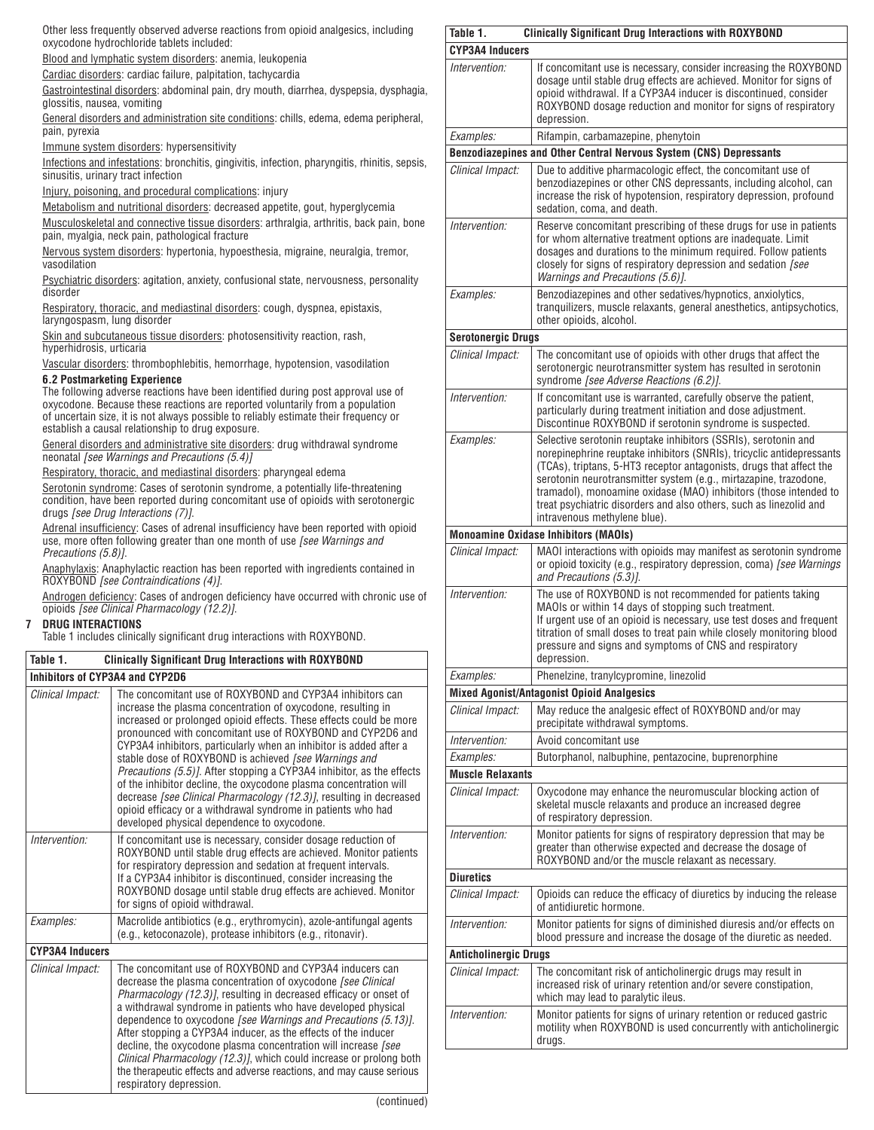*Other less frequently observed adverse reactions from opioid analgesics, including oxycodone hydrochloride tablets included:* 

*Blood and lymphatic system disorders: anemia, leukopenia* 

*Cardiac disorders: cardiac failure, palpitation, tachycardia* 

*Gastrointestinal disorders: abdominal pain, dry mouth, diarrhea, dyspepsia, dysphagia, glossitis, nausea, vomiting* 

*General disorders and administration site conditions: chills, edema, edema peripheral, pain, pyrexia* 

*Immune system disorders: hypersensitivity* 

*Infections and infestations: bronchitis, gingivitis, infection, pharyngitis, rhinitis, sepsis, sinusitis, urinary tract infection* 

*Injury, poisoning, and procedural complications: injury* 

*Metabolism and nutritional disorders: decreased appetite, gout, hyperglycemia* 

*Musculoskeletal and connective tissue disorders: arthralgia, arthritis, back pain, bone pain, myalgia, neck pain, pathological fracture* 

*Nervous system disorders: hypertonia, hypoesthesia, migraine, neuralgia, tremor, vasodilation* 

*Psychiatric disorders: agitation, anxiety, confusional state, nervousness, personality disorder* 

*Respiratory, thoracic, and mediastinal disorders: cough, dyspnea, epistaxis, laryngospasm, lung disorder* 

*Skin and subcutaneous tissue disorders: photosensitivity reaction, rash, hyperhidrosis, urticaria* 

*Vascular disorders: thrombophlebitis, hemorrhage, hypotension, vasodilation*  **6.2 Postmarketing Experience** 

*The following adverse reactions have been identified during post approval use of oxycodone. Because these reactions are reported voluntarily from a population of uncertain size, it is not always possible to reliably estimate their frequency or establish a causal relationship to drug exposure.* 

*General disorders and administrative site disorders: drug withdrawal syndrome neonatal [see Warnings and Precautions (5.4)]*

*Respiratory, thoracic, and mediastinal disorders: pharyngeal edema* 

*Serotonin syndrome: Cases of serotonin syndrome, a potentially life-threatening condition, have been reported during concomitant use of opioids with serotonergic drugs [see Drug Interactions (7)].* 

*Adrenal insufficiency: Cases of adrenal insufficiency have been reported with opioid use, more often following greater than one month of use [see Warnings and Precautions (5.8)].* 

*Anaphylaxis: Anaphylactic reaction has been reported with ingredients contained in ROXYBOND [see Contraindications (4)].* 

*Androgen deficiency: Cases of androgen deficiency have occurred with chronic use of opioids [see Clinical Pharmacology (12.2)].* 

#### **7 DRUG INTERACTIONS**

 *Table 1 includes clinically significant drug interactions with ROXYBOND.* 

| Table 1.<br><b>Clinically Significant Drug Interactions with ROXYBOND</b> |                                                                                                                                                                                                                                                                                                                                                                                                                                                                                                                                                                                                                                                                                                                                                        |  |  |  |  |  |
|---------------------------------------------------------------------------|--------------------------------------------------------------------------------------------------------------------------------------------------------------------------------------------------------------------------------------------------------------------------------------------------------------------------------------------------------------------------------------------------------------------------------------------------------------------------------------------------------------------------------------------------------------------------------------------------------------------------------------------------------------------------------------------------------------------------------------------------------|--|--|--|--|--|
| Inhibitors of CYP3A4 and CYP2D6                                           |                                                                                                                                                                                                                                                                                                                                                                                                                                                                                                                                                                                                                                                                                                                                                        |  |  |  |  |  |
| Clinical Impact:                                                          | The concomitant use of ROXYBOND and CYP3A4 inhibitors can<br>increase the plasma concentration of oxycodone, resulting in<br>increased or prolonged opioid effects. These effects could be more<br>pronounced with concomitant use of ROXYBOND and CYP2D6 and<br>CYP3A4 inhibitors, particularly when an inhibitor is added after a<br>stable dose of ROXYBOND is achieved <i>[see Warnings and</i><br><i>Precautions (5.5)].</i> After stopping a CYP3A4 inhibitor, as the effects<br>of the inhibitor decline, the oxycodone plasma concentration will<br>decrease <i>[see Clinical Pharmacology (12.3)</i> ], resulting in decreased<br>opioid efficacy or a withdrawal syndrome in patients who had<br>developed physical dependence to oxycodone. |  |  |  |  |  |
| Intervention:                                                             | If concomitant use is necessary, consider dosage reduction of<br>ROXYBOND until stable drug effects are achieved. Monitor patients<br>for respiratory depression and sedation at frequent intervals.<br>If a CYP3A4 inhibitor is discontinued, consider increasing the<br>ROXYBOND dosage until stable drug effects are achieved. Monitor<br>for signs of opioid withdrawal.                                                                                                                                                                                                                                                                                                                                                                           |  |  |  |  |  |
| Examples:                                                                 | Macrolide antibiotics (e.g., erythromycin), azole-antifungal agents<br>(e.g., ketoconazole), protease inhibitors (e.g., ritonavir).                                                                                                                                                                                                                                                                                                                                                                                                                                                                                                                                                                                                                    |  |  |  |  |  |
| <b>CYP3A4 Inducers</b>                                                    |                                                                                                                                                                                                                                                                                                                                                                                                                                                                                                                                                                                                                                                                                                                                                        |  |  |  |  |  |
| Clinical Impact:                                                          | The concomitant use of ROXYBOND and CYP3A4 inducers can<br>decrease the plasma concentration of oxycodone [see Clinical]<br><i>Pharmacology (12.3)]</i> , resulting in decreased efficacy or onset of<br>a withdrawal syndrome in patients who have developed physical<br>dependence to oxycodone <i>[see Warnings and Precautions (5.13)]</i> .<br>After stopping a CYP3A4 inducer, as the effects of the inducer<br>decline, the oxycodone plasma concentration will increase [see<br>Clinical Pharmacology (12.3)], which could increase or prolong both<br>the therapeutic effects and adverse reactions, and may cause serious<br>respiratory depression.                                                                                         |  |  |  |  |  |

| Table 1.                     | <b>Clinically Significant Drug Interactions with ROXYBOND</b>                                                                                                                                                                                                                                                                                                                                                                                                |
|------------------------------|--------------------------------------------------------------------------------------------------------------------------------------------------------------------------------------------------------------------------------------------------------------------------------------------------------------------------------------------------------------------------------------------------------------------------------------------------------------|
| <b>CYP3A4 Inducers</b>       |                                                                                                                                                                                                                                                                                                                                                                                                                                                              |
| Intervention:                | If concomitant use is necessary, consider increasing the ROXYBOND<br>dosage until stable drug effects are achieved. Monitor for signs of<br>opioid withdrawal. If a CYP3A4 inducer is discontinued, consider<br>ROXYBOND dosage reduction and monitor for signs of respiratory<br>depression.                                                                                                                                                                |
| Examples:                    | Rifampin, carbamazepine, phenytoin                                                                                                                                                                                                                                                                                                                                                                                                                           |
|                              | Benzodiazepines and Other Central Nervous System (CNS) Depressants                                                                                                                                                                                                                                                                                                                                                                                           |
| Clinical Impact:             | Due to additive pharmacologic effect, the concomitant use of<br>benzodiazepines or other CNS depressants, including alcohol, can<br>increase the risk of hypotension, respiratory depression, profound<br>sedation, coma, and death.                                                                                                                                                                                                                         |
| Intervention:                | Reserve concomitant prescribing of these drugs for use in patients<br>for whom alternative treatment options are inadequate. Limit<br>dosages and durations to the minimum required. Follow patients<br>closely for signs of respiratory depression and sedation [see<br>Warnings and Precautions (5.6)].                                                                                                                                                    |
| Examples:                    | Benzodiazepines and other sedatives/hypnotics, anxiolytics,<br>tranguilizers, muscle relaxants, general anesthetics, antipsychotics,<br>other opioids, alcohol.                                                                                                                                                                                                                                                                                              |
| <b>Serotonergic Drugs</b>    |                                                                                                                                                                                                                                                                                                                                                                                                                                                              |
| Clinical Impact:             | The concomitant use of opioids with other drugs that affect the<br>serotonergic neurotransmitter system has resulted in serotonin<br>syndrome [see Adverse Reactions (6.2)].                                                                                                                                                                                                                                                                                 |
| Intervention:                | If concomitant use is warranted, carefully observe the patient,<br>particularly during treatment initiation and dose adjustment.<br>Discontinue ROXYBOND if serotonin syndrome is suspected.                                                                                                                                                                                                                                                                 |
| Examples:                    | Selective serotonin reuptake inhibitors (SSRIs), serotonin and<br>norepinephrine reuptake inhibitors (SNRIs), tricyclic antidepressants<br>(TCAs), triptans, 5-HT3 receptor antagonists, drugs that affect the<br>serotonin neurotransmitter system (e.g., mirtazapine, trazodone,<br>tramadol), monoamine oxidase (MAO) inhibitors (those intended to<br>treat psychiatric disorders and also others, such as linezolid and<br>intravenous methylene blue). |
|                              | <b>Monoamine Oxidase Inhibitors (MAOIs)</b>                                                                                                                                                                                                                                                                                                                                                                                                                  |
| Clinical Impact:             | MAOI interactions with opioids may manifest as serotonin syndrome<br>or opioid toxicity (e.g., respiratory depression, coma) [see Warnings]<br>and Precautions (5.3)].                                                                                                                                                                                                                                                                                       |
| Intervention:                | The use of ROXYBOND is not recommended for patients taking<br>MAOIs or within 14 days of stopping such treatment.<br>If urgent use of an opioid is necessary, use test doses and frequent<br>titration of small doses to treat pain while closely monitoring blood<br>pressure and signs and symptoms of CNS and respiratory<br>depression.                                                                                                                  |
| Examples:                    | Phenelzine, tranylcypromine, linezolid                                                                                                                                                                                                                                                                                                                                                                                                                       |
|                              | <b>Mixed Agonist/Antagonist Opioid Analgesics</b>                                                                                                                                                                                                                                                                                                                                                                                                            |
| Clinical Impact:             | May reduce the analgesic effect of ROXYBOND and/or may<br>precipitate withdrawal symptoms.                                                                                                                                                                                                                                                                                                                                                                   |
| Intervention:                | Avoid concomitant use                                                                                                                                                                                                                                                                                                                                                                                                                                        |
| Examples:                    | Butorphanol, nalbuphine, pentazocine, buprenorphine                                                                                                                                                                                                                                                                                                                                                                                                          |
| <b>Muscle Relaxants</b>      |                                                                                                                                                                                                                                                                                                                                                                                                                                                              |
| Clinical Impact:             | Oxycodone may enhance the neuromuscular blocking action of<br>skeletal muscle relaxants and produce an increased degree<br>of respiratory depression.                                                                                                                                                                                                                                                                                                        |
| Intervention:                | Monitor patients for signs of respiratory depression that may be<br>greater than otherwise expected and decrease the dosage of<br>ROXYBOND and/or the muscle relaxant as necessary.                                                                                                                                                                                                                                                                          |
| <b>Diuretics</b>             |                                                                                                                                                                                                                                                                                                                                                                                                                                                              |
| Clinical Impact:             | Opioids can reduce the efficacy of diuretics by inducing the release<br>of antidiuretic hormone.                                                                                                                                                                                                                                                                                                                                                             |
| Intervention:                | Monitor patients for signs of diminished diuresis and/or effects on<br>blood pressure and increase the dosage of the diuretic as needed.                                                                                                                                                                                                                                                                                                                     |
| <b>Anticholinergic Drugs</b> |                                                                                                                                                                                                                                                                                                                                                                                                                                                              |
| Clinical Impact:             | The concomitant risk of anticholinergic drugs may result in<br>increased risk of urinary retention and/or severe constipation,<br>which may lead to paralytic ileus.                                                                                                                                                                                                                                                                                         |
| Intervention:                | Monitor patients for signs of urinary retention or reduced gastric<br>motility when ROXYBOND is used concurrently with anticholinergic<br>drugs.                                                                                                                                                                                                                                                                                                             |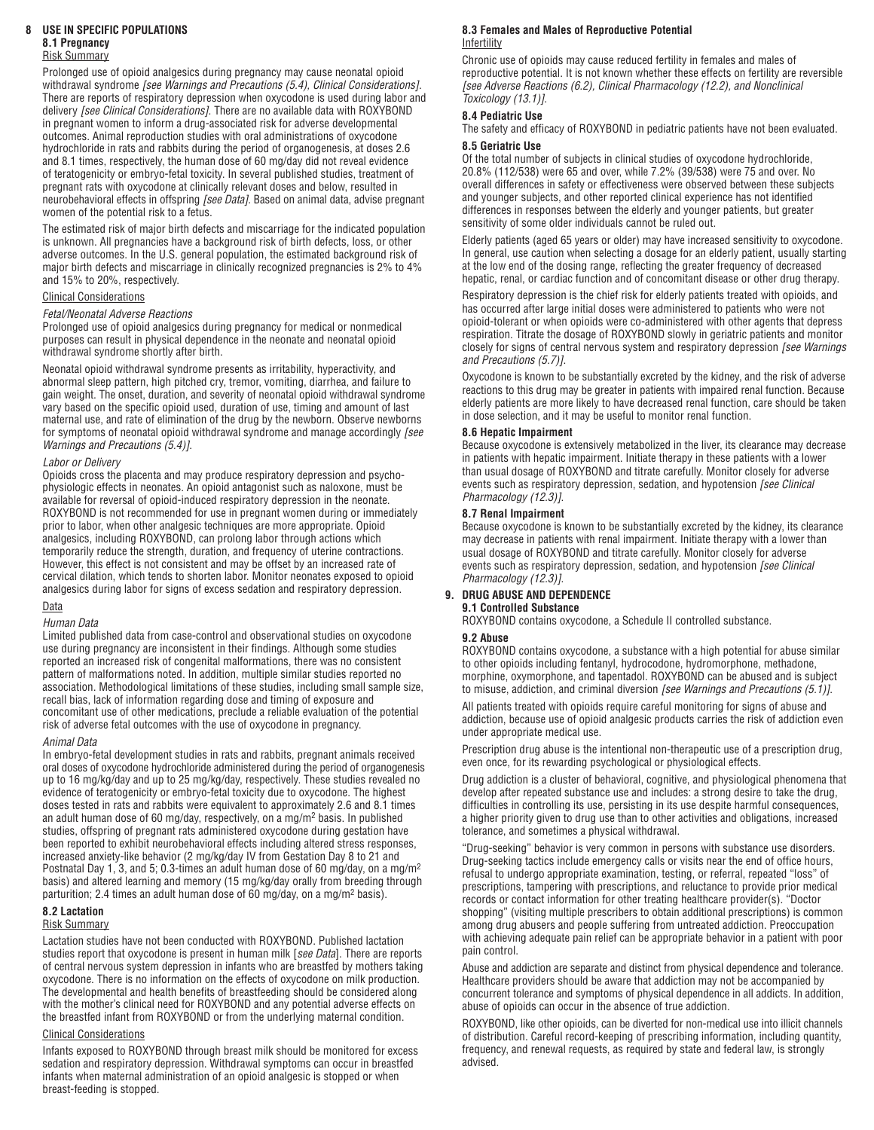### **USE IN SPECIFIC POPULATIONS 8.1 Pregnancy**

#### *Risk Summary*

*Prolonged use of opioid analgesics during pregnancy may cause neonatal opioid withdrawal syndrome [see Warnings and Precautions (5.4), Clinical Considerations]. There are reports of respiratory depression when oxycodone is used during labor and delivery [see Clinical Considerations]. There are no available data with ROXYBOND*  in pregnant women to inform a drug-associated risk for adverse developmental *outcomes. Animal reproduction studies with oral administrations of oxycodone hydrochloride in rats and rabbits during the period of organogenesis, at doses 2.6 and 8.1 times, respectively, the human dose of 60 mg/day did not reveal evidence of teratogenicity or embryo-fetal toxicity. In several published studies, treatment of pregnant rats with oxycodone at clinically relevant doses and below, resulted in neurobehavioral effects in offspring [see Data]. Based on animal data, advise pregnant women of the potential risk to a fetus.* 

*The estimated risk of major birth defects and miscarriage for the indicated population is unknown. All pregnancies have a background risk of birth defects, loss, or other adverse outcomes. In the U.S. general population, the estimated background risk of major birth defects and miscarriage in clinically recognized pregnancies is 2% to 4% and 15% to 20%, respectively.* 

#### *Clinical Considerations*

#### *Fetal/Neonatal Adverse Reactions*

*Prolonged use of opioid analgesics during pregnancy for medical or nonmedical purposes can result in physical dependence in the neonate and neonatal opioid withdrawal syndrome shortly after birth.* 

*Neonatal opioid withdrawal syndrome presents as irritability, hyperactivity, and abnormal sleep pattern, high pitched cry, tremor, vomiting, diarrhea, and failure to gain weight. The onset, duration, and severity of neonatal opioid withdrawal syndrome vary based on the specific opioid used, duration of use, timing and amount of last maternal use, and rate of elimination of the drug by the newborn. Observe newborns for symptoms of neonatal opioid withdrawal syndrome and manage accordingly [see Warnings and Precautions (5.4)].* 

#### *Labor or Delivery*

*Opioids cross the placenta and may produce respiratory depression and psychophysiologic effects in neonates. An opioid antagonist such as naloxone, must be available for reversal of opioid-induced respiratory depression in the neonate. ROXYBOND is not recommended for use in pregnant women during or immediately prior to labor, when other analgesic techniques are more appropriate. Opioid analgesics, including ROXYBOND, can prolong labor through actions which temporarily reduce the strength, duration, and frequency of uterine contractions.*  However, this effect is not consistent and may be offset by an increased rate of *cervical dilation, which tends to shorten labor. Monitor neonates exposed to opioid analgesics during labor for signs of excess sedation and respiratory depression.* 

#### *Data*

#### *Human Data*

*Limited published data from case-control and observational studies on oxycodone use during pregnancy are inconsistent in their findings. Although some studies reported an increased risk of congenital malformations, there was no consistent pattern of malformations noted. In addition, multiple similar studies reported no association. Methodological limitations of these studies, including small sample size, recall bias, lack of information regarding dose and timing of exposure and concomitant use of other medications, preclude a reliable evaluation of the potential risk of adverse fetal outcomes with the use of oxycodone in pregnancy.* 

#### *Animal Data*

*In embryo-fetal development studies in rats and rabbits, pregnant animals received oral doses of oxycodone hydrochloride administered during the period of organogenesis up to 16 mg/kg/day and up to 25 mg/kg/day, respectively. These studies revealed no evidence of teratogenicity or embryo-fetal toxicity due to oxycodone. The highest doses tested in rats and rabbits were equivalent to approximately 2.6 and 8.1 times an adult human dose of 60 mg/day, respectively, on a mg/m2 basis. In published studies, offspring of pregnant rats administered oxycodone during gestation have been reported to exhibit neurobehavioral effects including altered stress responses, increased anxiety-like behavior (2 mg/kg/day IV from Gestation Day 8 to 21 and Postnatal Day 1, 3, and 5; 0.3-times an adult human dose of 60 mg/day, on a mg/m2 basis) and altered learning and memory (15 mg/kg/day orally from breeding through parturition; 2.4 times an adult human dose of 60 mg/day, on a mg/m2 basis).* 

#### **8.2 Lactation**  *Risk Summary*

*Lactation studies have not been conducted with ROXYBOND. Published lactation studies report that oxycodone is present in human milk [see Data]. There are reports of central nervous system depression in infants who are breastfed by mothers taking oxycodone. There is no information on the effects of oxycodone on milk production. The developmental and health benefits of breastfeeding should be considered along with the mother's clinical need for ROXYBOND and any potential adverse effects on the breastfed infant from ROXYBOND or from the underlying maternal condition.* 

#### *Clinical Considerations*

*Infants exposed to ROXYBOND through breast milk should be monitored for excess sedation and respiratory depression. Withdrawal symptoms can occur in breastfed*  infants when maternal administration of an opioid analgesic is stopped or when *breast-feeding is stopped.* 

#### **8.3 Females and Males of Reproductive Potential**  *Infertility*

*Chronic use of opioids may cause reduced fertility in females and males of reproductive potential. It is not known whether these effects on fertility are reversible [see Adverse Reactions (6.2), Clinical Pharmacology (12.2), and Nonclinical Toxicology (13.1)].* 

#### **8.4 Pediatric Use**

*The safety and efficacy of ROXYBOND in pediatric patients have not been evaluated.* 

### **8.5 Geriatric Use**

*Of the total number of subjects in clinical studies of oxycodone hydrochloride, 20.8% (112/538) were 65 and over, while 7.2% (39/538) were 75 and over. No overall differences in safety or effectiveness were observed between these subjects and younger subjects, and other reported clinical experience has not identified differences in responses between the elderly and younger patients, but greater sensitivity of some older individuals cannot be ruled out.* 

*Elderly patients (aged 65 years or older) may have increased sensitivity to oxycodone.*  In general, use caution when selecting a dosage for an elderly patient, usually starting *at the low end of the dosing range, reflecting the greater frequency of decreased hepatic, renal, or cardiac function and of concomitant disease or other drug therapy.* 

*Respiratory depression is the chief risk for elderly patients treated with opioids, and has occurred after large initial doses were administered to patients who were not opioid-tolerant or when opioids were co-administered with other agents that depress respiration. Titrate the dosage of ROXYBOND slowly in geriatric patients and monitor closely for signs of central nervous system and respiratory depression [see Warnings and Precautions (5.7)].* 

*Oxycodone is known to be substantially excreted by the kidney, and the risk of adverse reactions to this drug may be greater in patients with impaired renal function. Because elderly patients are more likely to have decreased renal function, care should be taken in dose selection, and it may be useful to monitor renal function.* 

#### **8.6 Hepatic Impairment**

*Because oxycodone is extensively metabolized in the liver, its clearance may decrease in patients with hepatic impairment. Initiate therapy in these patients with a lower than usual dosage of ROXYBOND and titrate carefully. Monitor closely for adverse events such as respiratory depression, sedation, and hypotension [see Clinical Pharmacology (12.3)].* 

### **8.7 Renal Impairment**

*Because oxycodone is known to be substantially excreted by the kidney, its clearance may decrease in patients with renal impairment. Initiate therapy with a lower than usual dosage of ROXYBOND and titrate carefully. Monitor closely for adverse events such as respiratory depression, sedation, and hypotension [see Clinical Pharmacology (12.3)].* 

#### **9. DRUG ABUSE AND DEPENDENCE 9.1 Controlled Substance**

*ROXYBOND contains oxycodone, a Schedule II controlled substance.* 

#### **9.2 Abuse**

*ROXYBOND contains oxycodone, a substance with a high potential for abuse similar to other opioids including fentanyl, hydrocodone, hydromorphone, methadone, morphine, oxymorphone, and tapentadol. ROXYBOND can be abused and is subject to misuse, addiction, and criminal diversion [see Warnings and Precautions (5.1)].* 

*All patients treated with opioids require careful monitoring for signs of abuse and addiction, because use of opioid analgesic products carries the risk of addiction even under appropriate medical use.* 

*Prescription drug abuse is the intentional non-therapeutic use of a prescription drug, even once, for its rewarding psychological or physiological effects.* 

*Drug addiction is a cluster of behavioral, cognitive, and physiological phenomena that develop after repeated substance use and includes: a strong desire to take the drug, difficulties in controlling its use, persisting in its use despite harmful consequences, a higher priority given to drug use than to other activities and obligations, increased tolerance, and sometimes a physical withdrawal.* 

*"Drug-seeking" behavior is very common in persons with substance use disorders. Drug-seeking tactics include emergency calls or visits near the end of office hours, refusal to undergo appropriate examination, testing, or referral, repeated "loss" of prescriptions, tampering with prescriptions, and reluctance to provide prior medical records or contact information for other treating healthcare provider(s). "Doctor shopping" (visiting multiple prescribers to obtain additional prescriptions) is common among drug abusers and people suffering from untreated addiction. Preoccupation with achieving adequate pain relief can be appropriate behavior in a patient with poor pain control.* 

*Abuse and addiction are separate and distinct from physical dependence and tolerance. Healthcare providers should be aware that addiction may not be accompanied by concurrent tolerance and symptoms of physical dependence in all addicts. In addition, abuse of opioids can occur in the absence of true addiction.* 

*ROXYBOND, like other opioids, can be diverted for non-medical use into illicit channels of distribution. Careful record-keeping of prescribing information, including quantity, frequency, and renewal requests, as required by state and federal law, is strongly advised.*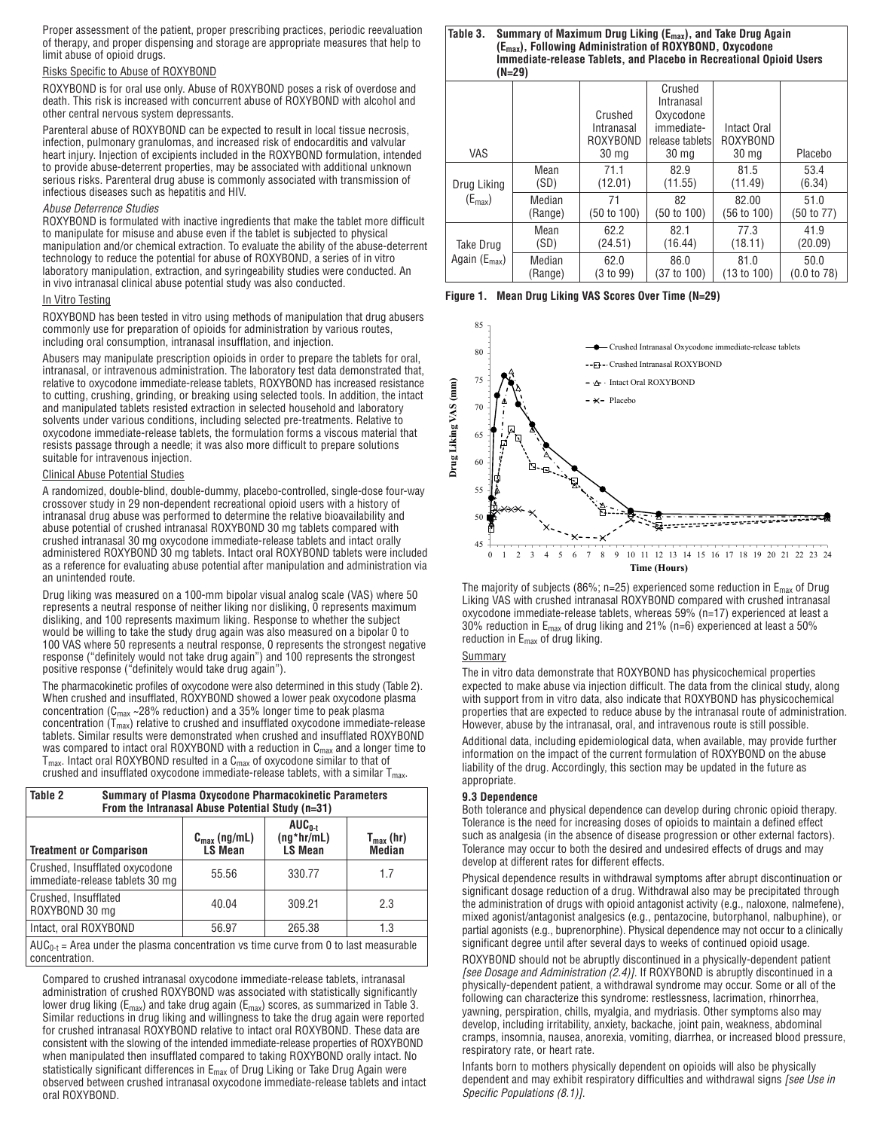*Proper assessment of the patient, proper prescribing practices, periodic reevaluation of therapy, and proper dispensing and storage are appropriate measures that help to limit abuse of opioid drugs.* 

#### *Risks Specific to Abuse of ROXYBOND*

*ROXYBOND is for oral use only. Abuse of ROXYBOND poses a risk of overdose and death. This risk is increased with concurrent abuse of ROXYBOND with alcohol and other central nervous system depressants.* 

*Parenteral abuse of ROXYBOND can be expected to result in local tissue necrosis, infection, pulmonary granulomas, and increased risk of endocarditis and valvular heart injury. Injection of excipients included in the ROXYBOND formulation, intended to provide abuse-deterrent properties, may be associated with additional unknown serious risks. Parenteral drug abuse is commonly associated with transmission of infectious diseases such as hepatitis and HIV.* 

#### *Abuse Deterrence Studies*

*ROXYBOND is formulated with inactive ingredients that make the tablet more difficult*  to manipulate for misuse and abuse even if the tablet is subjected to physical *manipulation and/or chemical extraction. To evaluate the ability of the abuse-deterrent technology to reduce the potential for abuse of ROXYBOND, a series of in vitro laboratory manipulation, extraction, and syringeability studies were conducted. An in vivo intranasal clinical abuse potential study was also conducted.* 

#### *In Vitro Testing*

*ROXYBOND has been tested in vitro using methods of manipulation that drug abusers commonly use for preparation of opioids for administration by various routes, including oral consumption, intranasal insufflation, and injection.* 

*Abusers may manipulate prescription opioids in order to prepare the tablets for oral, intranasal, or intravenous administration. The laboratory test data demonstrated that, relative to oxycodone immediate-release tablets, ROXYBOND has increased resistance to cutting, crushing, grinding, or breaking using selected tools. In addition, the intact and manipulated tablets resisted extraction in selected household and laboratory solvents under various conditions, including selected pre-treatments. Relative to oxycodone immediate-release tablets, the formulation forms a viscous material that resists passage through a needle; it was also more difficult to prepare solutions suitable for intravenous injection.* 

#### *Clinical Abuse Potential Studies*

*A randomized, double-blind, double-dummy, placebo-controlled, single-dose four-way crossover study in 29 non-dependent recreational opioid users with a history of intranasal drug abuse was performed to determine the relative bioavailability and abuse potential of crushed intranasal ROXYBOND 30 mg tablets compared with crushed intranasal 30 mg oxycodone immediate-release tablets and intact orally administered ROXYBOND 30 mg tablets. Intact oral ROXYBOND tablets were included as a reference for evaluating abuse potential after manipulation and administration via an unintended route.* 

*Drug liking was measured on a 100-mm bipolar visual analog scale (VAS) where 50 represents a neutral response of neither liking nor disliking, 0 represents maximum disliking, and 100 represents maximum liking. Response to whether the subject would be willing to take the study drug again was also measured on a bipolar 0 to 100 VAS where 50 represents a neutral response, 0 represents the strongest negative response ("definitely would not take drug again") and 100 represents the strongest positive response ("definitely would take drug again").* 

*The pharmacokinetic profiles of oxycodone were also determined in this study (Table 2). When crushed and insufflated, ROXYBOND showed a lower peak oxycodone plasma concentration (Cmax ~28% reduction) and a 35% longer time to peak plasma concentration (Tmax) relative to crushed and insufflated oxycodone immediate-release tablets. Similar results were demonstrated when crushed and insufflated ROXYBOND was compared to intact oral ROXYBOND with a reduction in Cmax and a longer time to Tmax. Intact oral ROXYBOND resulted in a Cmax of oxycodone similar to that of crushed and insufflated oxycodone immediate-release tablets, with a similar Tmax.* 

| Table 2<br>Summary of Plasma Oxycodone Pharmacokinetic Parameters<br>From the Intranasal Abuse Potential Study (n=31) |                                     |                                                      |                                 |  |  |  |
|-----------------------------------------------------------------------------------------------------------------------|-------------------------------------|------------------------------------------------------|---------------------------------|--|--|--|
| <b>Treatment or Comparison</b>                                                                                        | $C_{\text{max}}$ (ng/mL)<br>LS Mean | AUC <sub>0-t</sub><br>$(ng*hr/mL)$<br><b>LS Mean</b> | $T_{max}$ (hr)<br><b>Median</b> |  |  |  |
| Crushed, Insufflated oxycodone<br>immediate-release tablets 30 mg                                                     | 55.56                               | 330.77                                               | 1.7                             |  |  |  |
| Crushed, Insufflated<br>ROXYBOND 30 mg                                                                                | 40.04                               | 309.21                                               | 2.3                             |  |  |  |
| Intact, oral ROXYBOND                                                                                                 | 56.97                               | 265.38                                               | 1.3                             |  |  |  |
| $AUC_{0-t}$ = Area under the plasma concentration vs time curve from 0 to last measurable<br>concentration.           |                                     |                                                      |                                 |  |  |  |

*Compared to crushed intranasal oxycodone immediate-release tablets, intranasal administration of crushed ROXYBOND was associated with statistically significantly lower drug liking (E<sub>max</sub>)* and take drug again (E<sub>max</sub>) scores, as summarized in Table 3. *Similar reductions in drug liking and willingness to take the drug again were reported for crushed intranasal ROXYBOND relative to intact oral ROXYBOND. These data are consistent with the slowing of the intended immediate-release properties of ROXYBOND when manipulated then insufflated compared to taking ROXYBOND orally intact. No statistically significant differences in Emax of Drug Liking or Take Drug Again were observed between crushed intranasal oxycodone immediate-release tablets and intact oral ROXYBOND.* 

#### **Table 3. Summary of Maximum Drug Liking (Emax), and Take Drug Again (Emax), Following Administration of ROXYBOND, Oxycodone Immediate-release Tablets, and Placebo in Recreational Opioid Users (N=29)**

| (11–43)                  |         |                                                              |                                                                                         |                                                    |             |  |
|--------------------------|---------|--------------------------------------------------------------|-----------------------------------------------------------------------------------------|----------------------------------------------------|-------------|--|
| <b>VAS</b>               |         | Crushed<br>Intranasal<br><b>ROXYBOND</b><br>30 <sub>mg</sub> | Crushed<br>Intranasal<br>Oxycodone<br>immediate-<br>release tablets<br>30 <sub>mg</sub> | Intact Oral<br><b>ROXYBOND</b><br>30 <sub>mg</sub> | Placebo     |  |
| Drug Liking              | Mean    | 71.1                                                         | 82.9                                                                                    | 81.5                                               | 53.4        |  |
|                          | (SD)    | (12.01)                                                      | (11.55)                                                                                 | (11.49)                                            | (6.34)      |  |
| $(E_{\text{max}})$       | Median  | 71                                                           | 82                                                                                      | 82.00                                              | 51.0        |  |
|                          | (Range) | (50 to 100)                                                  | 50 to 100)                                                                              | (56 to 100)                                        | (50 to 77)  |  |
| Take Drug                | Mean    | 62.2                                                         | 82.1                                                                                    | 77.3                                               | 41.9        |  |
|                          | (SD)    | (24.51)                                                      | (16.44)                                                                                 | (18.11)                                            | (20.09)     |  |
| Again $(E_{\text{max}})$ | Median  | 62.0                                                         | 86.0                                                                                    | 81.0                                               | 50.0        |  |
|                          | (Range) | (3 to 99)                                                    | (37 to 100)                                                                             | (13 to 100)                                        | (0.0 to 78) |  |

**Figure 1. Mean Drug Liking VAS Scores Over Time (N=29)** 



*The majority of subjects (86%; n=25) experienced some reduction in Emax of Drug Liking VAS with crushed intranasal ROXYBOND compared with crushed intranasal oxycodone immediate-release tablets, whereas 59% (n=17) experienced at least a 30% reduction in Emax of drug liking and 21% (n=6) experienced at least a 50% reduction in Emax of drug liking.* 

#### *Summary*

*The in vitro data demonstrate that ROXYBOND has physicochemical properties expected to make abuse via injection difficult. The data from the clinical study, along with support from in vitro data, also indicate that ROXYBOND has physicochemical properties that are expected to reduce abuse by the intranasal route of administration. However, abuse by the intranasal, oral, and intravenous route is still possible.* 

*Additional data, including epidemiological data, when available, may provide further information on the impact of the current formulation of ROXYBOND on the abuse liability of the drug. Accordingly, this section may be updated in the future as appropriate.* 

#### **9.3 Dependence**

*Both tolerance and physical dependence can develop during chronic opioid therapy. Tolerance is the need for increasing doses of opioids to maintain a defined effect such as analgesia (in the absence of disease progression or other external factors). Tolerance may occur to both the desired and undesired effects of drugs and may develop at different rates for different effects.* 

*Physical dependence results in withdrawal symptoms after abrupt discontinuation or significant dosage reduction of a drug. Withdrawal also may be precipitated through the administration of drugs with opioid antagonist activity (e.g., naloxone, nalmefene), mixed agonist/antagonist analgesics (e.g., pentazocine, butorphanol, nalbuphine), or partial agonists (e.g., buprenorphine). Physical dependence may not occur to a clinically significant degree until after several days to weeks of continued opioid usage.* 

*ROXYBOND should not be abruptly discontinued in a physically-dependent patient [see Dosage and Administration (2.4)]. If ROXYBOND is abruptly discontinued in a physically-dependent patient, a withdrawal syndrome may occur. Some or all of the following can characterize this syndrome: restlessness, lacrimation, rhinorrhea, yawning, perspiration, chills, myalgia, and mydriasis. Other symptoms also may develop, including irritability, anxiety, backache, joint pain, weakness, abdominal cramps, insomnia, nausea, anorexia, vomiting, diarrhea, or increased blood pressure, respiratory rate, or heart rate.* 

*Infants born to mothers physically dependent on opioids will also be physically dependent and may exhibit respiratory difficulties and withdrawal signs [see Use in Specific Populations (8.1)].*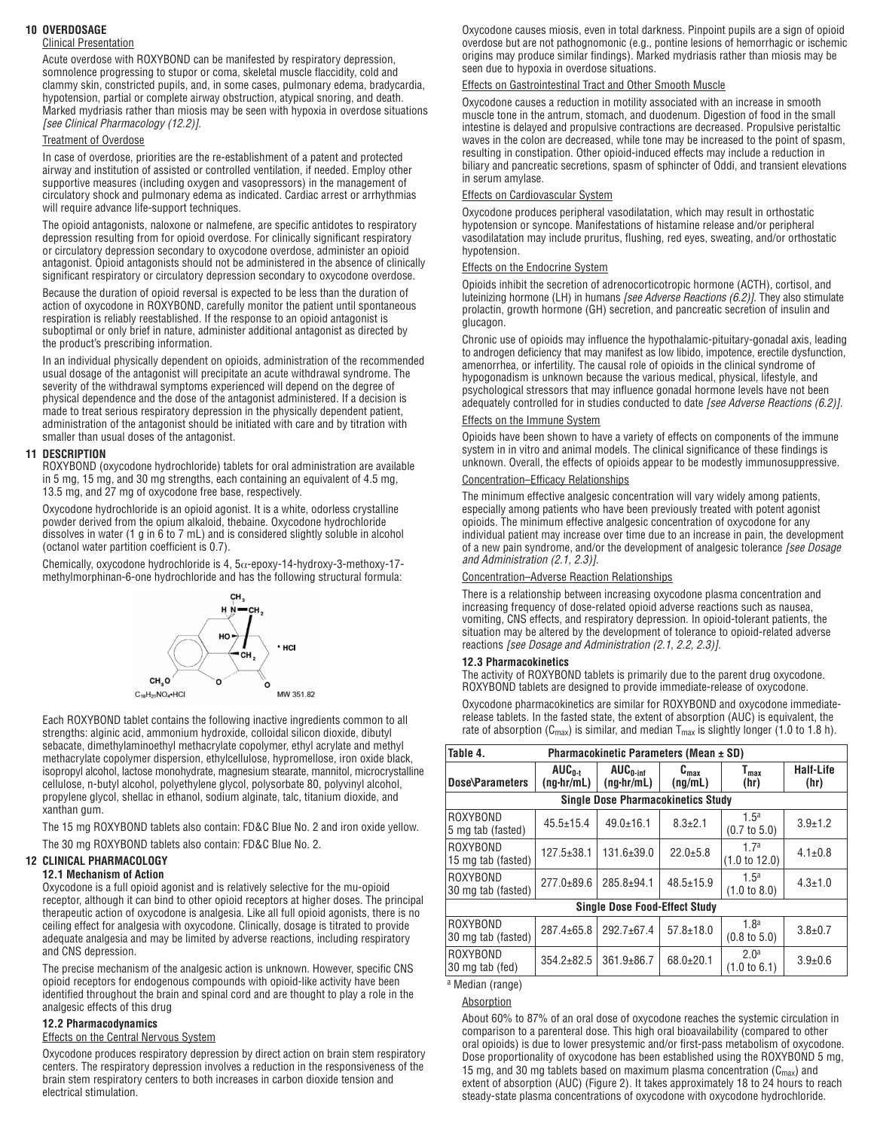### **10 OVERDOSAGE**

#### *Clinical Presentation*

*Acute overdose with ROXYBOND can be manifested by respiratory depression, somnolence progressing to stupor or coma, skeletal muscle flaccidity, cold and clammy skin, constricted pupils, and, in some cases, pulmonary edema, bradycardia, hypotension, partial or complete airway obstruction, atypical snoring, and death. Marked mydriasis rather than miosis may be seen with hypoxia in overdose situations [see Clinical Pharmacology (12.2)].* 

### *Treatment of Overdose*

*In case of overdose, priorities are the re-establishment of a patent and protected airway and institution of assisted or controlled ventilation, if needed. Employ other supportive measures (including oxygen and vasopressors) in the management of circulatory shock and pulmonary edema as indicated. Cardiac arrest or arrhythmias will require advance life-support techniques.* 

*The opioid antagonists, naloxone or nalmefene, are specific antidotes to respiratory depression resulting from for opioid overdose. For clinically significant respiratory or circulatory depression secondary to oxycodone overdose, administer an opioid antagonist. Opioid antagonists should not be administered in the absence of clinically significant respiratory or circulatory depression secondary to oxycodone overdose.* 

Because the duration of opioid reversal is expected to be less than the duration of *action of oxycodone in ROXYBOND, carefully monitor the patient until spontaneous respiration is reliably reestablished. If the response to an opioid antagonist is suboptimal or only brief in nature, administer additional antagonist as directed by the product's prescribing information.* 

*In an individual physically dependent on opioids, administration of the recommended usual dosage of the antagonist will precipitate an acute withdrawal syndrome. The severity of the withdrawal symptoms experienced will depend on the degree of physical dependence and the dose of the antagonist administered. If a decision is made to treat serious respiratory depression in the physically dependent patient, administration of the antagonist should be initiated with care and by titration with smaller than usual doses of the antagonist.* 

#### **11 DESCRIPTION**

*ROXYBOND (oxycodone hydrochloride) tablets for oral administration are available in 5 mg, 15 mg, and 30 mg strengths, each containing an equivalent of 4.5 mg, 13.5 mg, and 27 mg of oxycodone free base, respectively.* 

*Oxycodone hydrochloride is an opioid agonist. It is a white, odorless crystalline powder derived from the opium alkaloid, thebaine. Oxycodone hydrochloride dissolves in water (1 g in 6 to 7 mL) and is considered slightly soluble in alcohol (octanol water partition coefficient is 0.7).* 

*Chemically, oxycodone hydrochloride is 4, 5*α*-epoxy-14-hydroxy-3-methoxy-17 methylmorphinan-6-one hydrochloride and has the following structural formula:* 



*Each ROXYBOND tablet contains the following inactive ingredients common to all strengths: alginic acid, ammonium hydroxide, colloidal silicon dioxide, dibutyl*  sebacate, dimethylaminoethyl methacrylate copolymer, ethyl acrylate and methyl *methacrylate copolymer dispersion, ethylcellulose, hypromellose, iron oxide black, isopropyl alcohol, lactose monohydrate, magnesium stearate, mannitol, microcrystalline cellulose, n-butyl alcohol, polyethylene glycol, polysorbate 80, polyvinyl alcohol, propylene glycol, shellac in ethanol, sodium alginate, talc, titanium dioxide, and xanthan gum.* 

*The 15 mg ROXYBOND tablets also contain: FD&C Blue No. 2 and iron oxide yellow.* 

*The 30 mg ROXYBOND tablets also contain: FD&C Blue No. 2.* 

#### **12 CLINICAL PHARMACOLOGY**

#### **12.1 Mechanism of Action**

*Oxycodone is a full opioid agonist and is relatively selective for the mu-opioid receptor, although it can bind to other opioid receptors at higher doses. The principal therapeutic action of oxycodone is analgesia. Like all full opioid agonists, there is no ceiling effect for analgesia with oxycodone. Clinically, dosage is titrated to provide adequate analgesia and may be limited by adverse reactions, including respiratory and CNS depression.* 

*The precise mechanism of the analgesic action is unknown. However, specific CNS opioid receptors for endogenous compounds with opioid-like activity have been identified throughout the brain and spinal cord and are thought to play a role in the analgesic effects of this drug* 

### **12.2 Pharmacodynamics**

#### *Effects on the Central Nervous System*

*Oxycodone produces respiratory depression by direct action on brain stem respiratory centers. The respiratory depression involves a reduction in the responsiveness of the brain stem respiratory centers to both increases in carbon dioxide tension and electrical stimulation.* 

*Oxycodone causes miosis, even in total darkness. Pinpoint pupils are a sign of opioid overdose but are not pathognomonic (e.g., pontine lesions of hemorrhagic or ischemic origins may produce similar findings). Marked mydriasis rather than miosis may be seen due to hypoxia in overdose situations.* 

### *Effects on Gastrointestinal Tract and Other Smooth Muscle*

*Oxycodone causes a reduction in motility associated with an increase in smooth muscle tone in the antrum, stomach, and duodenum. Digestion of food in the small intestine is delayed and propulsive contractions are decreased. Propulsive peristaltic waves in the colon are decreased, while tone may be increased to the point of spasm, resulting in constipation. Other opioid-induced effects may include a reduction in biliary and pancreatic secretions, spasm of sphincter of Oddi, and transient elevations in serum amylase.* 

### *Effects on Cardiovascular System*

*Oxycodone produces peripheral vasodilatation, which may result in orthostatic hypotension or syncope. Manifestations of histamine release and/or peripheral vasodilatation may include pruritus, flushing, red eyes, sweating, and/or orthostatic hypotension.* 

### *Effects on the Endocrine System*

*Opioids inhibit the secretion of adrenocorticotropic hormone (ACTH), cortisol, and luteinizing hormone (LH) in humans [see Adverse Reactions (6.2)]. They also stimulate prolactin, growth hormone (GH) secretion, and pancreatic secretion of insulin and glucagon.* 

*Chronic use of opioids may influence the hypothalamic-pituitary-gonadal axis, leading to androgen deficiency that may manifest as low libido, impotence, erectile dysfunction, amenorrhea, or infertility. The causal role of opioids in the clinical syndrome of hypogonadism is unknown because the various medical, physical, lifestyle, and psychological stressors that may influence gonadal hormone levels have not been adequately controlled for in studies conducted to date [see Adverse Reactions (6.2)].* 

### *Effects on the Immune System*

*Opioids have been shown to have a variety of effects on components of the immune system in in vitro and animal models. The clinical significance of these findings is unknown. Overall, the effects of opioids appear to be modestly immunosuppressive.* 

#### *Concentration–Efficacy Relationships*

*The minimum effective analgesic concentration will vary widely among patients,*  especially among patients who have been previously treated with potent agonist *opioids. The minimum effective analgesic concentration of oxycodone for any*  individual patient may increase over time due to an increase in pain, the development *of a new pain syndrome, and/or the development of analgesic tolerance [see Dosage and Administration (2.1, 2.3)].* 

#### *Concentration–Adverse Reaction Relationships*

*There is a relationship between increasing oxycodone plasma concentration and increasing frequency of dose-related opioid adverse reactions such as nausea, vomiting, CNS effects, and respiratory depression. In opioid-tolerant patients, the situation may be altered by the development of tolerance to opioid-related adverse reactions [see Dosage and Administration (2.1, 2.2, 2.3)].* 

#### **12.3 Pharmacokinetics**

*The activity of ROXYBOND tablets is primarily due to the parent drug oxycodone. ROXYBOND tablets are designed to provide immediate-release of oxycodone.* 

*Oxycodone pharmacokinetics are similar for ROXYBOND and oxycodone immediaterelease tablets. In the fasted state, the extent of absorption (AUC) is equivalent, the*  rate of absorption (C<sub>max</sub>) is similar, and median T<sub>max</sub> is slightly longer (1.0 to 1.8 h).

| Table 4.<br><b>Pharmacokinetic Parameters (Mean <math>\pm</math> SD)</b> |                           |                                           |                             |                                             |                   |  |
|--------------------------------------------------------------------------|---------------------------|-------------------------------------------|-----------------------------|---------------------------------------------|-------------------|--|
| Dose\Parameters                                                          | $AUC_{n-t}$<br>(ng·hr/mL) | $AUCn-int$<br>$(nq\cdot hr/mL)$           | $C_{\text{max}}$<br>(nq/mL) | $T_{\text{max}}$<br>(hr)                    | Half-Life<br>(hr) |  |
|                                                                          |                           | <b>Single Dose Pharmacokinetics Study</b> |                             |                                             |                   |  |
| <b>ROXYBOND</b><br>5 mg tab (fasted)                                     | $45.5 \pm 15.4$           | $49.0 \pm 16.1$                           | $8.3 + 2.1$                 | 1.5 <sup>a</sup><br>$(0.7 \text{ to } 5.0)$ | $3.9 \pm 1.2$     |  |
| <b>ROXYBOND</b><br>15 mg tab (fasted)                                    | $127.5 \pm 38.1$          | $131.6 \pm 39.0$                          | $22.0 + 5.8$                | 1.7a<br>(1.0 to 12.0)                       | $4.1 \pm 0.8$     |  |
| <b>ROXYBOND</b><br>30 mg tab (fasted)                                    | $277.0 + 89.6$            | $285.8 \pm 94.1$                          | $48.5 \pm 15.9$             | 1.5 <sup>a</sup><br>(1.0 to 8.0)            | $4.3 \pm 1.0$     |  |
| <b>Single Dose Food-Effect Study</b>                                     |                           |                                           |                             |                                             |                   |  |
| <b>ROXYBOND</b><br>30 mg tab (fasted)                                    | $287.4 \pm 65.8$          | $292.7 + 67.4$                            | $57.8 \pm 18.0$             | 1.8 <sup>a</sup><br>$(0.8 \text{ to } 5.0)$ | $3.8 \pm 0.7$     |  |
| <b>ROXYBOND</b><br>30 mg tab (fed)                                       | $354.2 + 82.5$            | $361.9 + 86.7$                            | $68.0 \pm 20.1$             | 2.0 <sup>a</sup><br>$(1.0 \text{ to } 6.1)$ | $3.9 \pm 0.6$     |  |

 *a Median (range)* 

#### *Absorption*

*About 60% to 87% of an oral dose of oxycodone reaches the systemic circulation in comparison to a parenteral dose. This high oral bioavailability (compared to other oral opioids) is due to lower presystemic and/or first-pass metabolism of oxycodone. Dose proportionality of oxycodone has been established using the ROXYBOND 5 mg, 15 mg, and 30 mg tablets based on maximum plasma concentration (Cmax) and extent of absorption (AUC) (Figure 2). It takes approximately 18 to 24 hours to reach steady-state plasma concentrations of oxycodone with oxycodone hydrochloride.*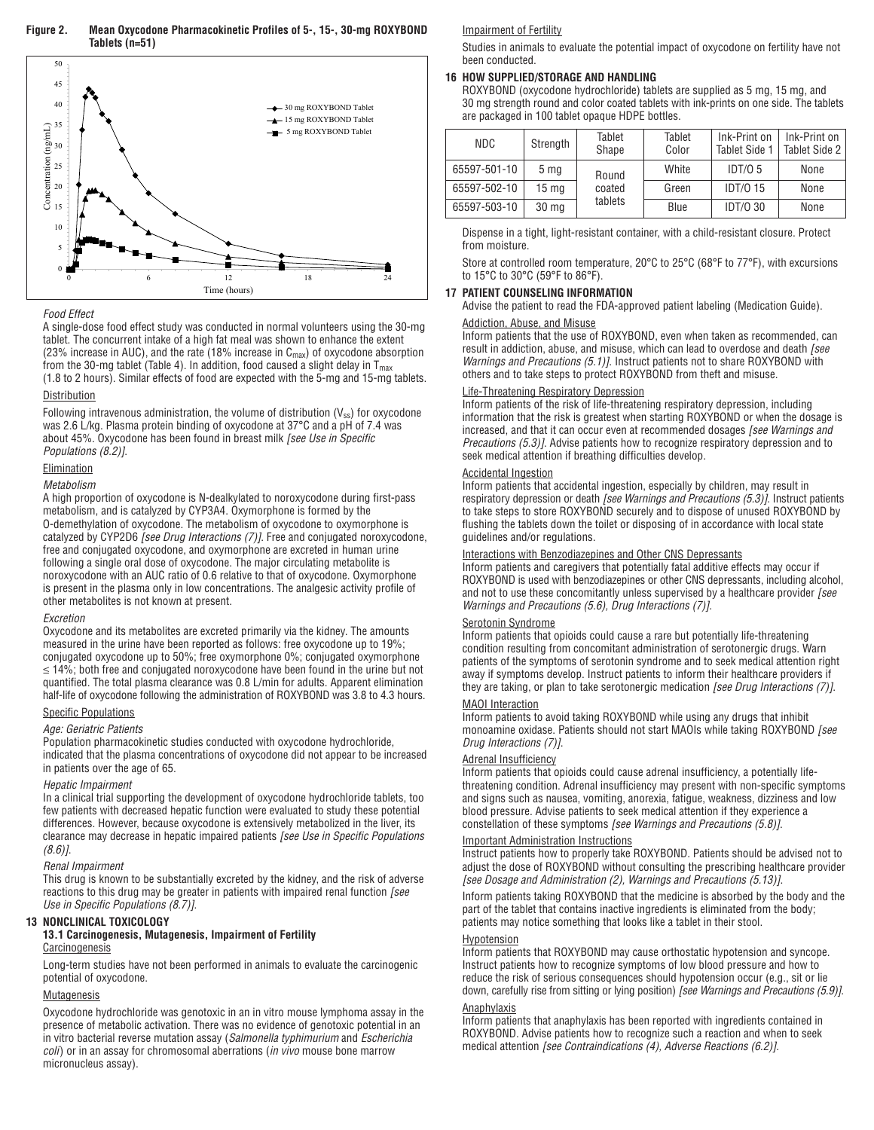#### **Figure 2. Mean Oxycodone Pharmacokinetic Profiles of 5-, 15-, 30-mg ROXYBOND Tablets (n=51)**



#### *Food Effect*

*A single-dose food effect study was conducted in normal volunteers using the 30-mg tablet. The concurrent intake of a high fat meal was shown to enhance the extent (23% increase in AUC), and the rate (18% increase in Cmax) of oxycodone absorption from the 30-mg tablet (Table 4). In addition, food caused a slight delay in Tmax (1.8 to 2 hours). Similar effects of food are expected with the 5-mg and 15-mg tablets.* 

#### *Distribution*

*Following intravenous administration, the volume of distribution (V<sub>ss</sub>) for oxycodone was 2.6 L/kg. Plasma protein binding of oxycodone at 37°C and a pH of 7.4 was about 45%. Oxycodone has been found in breast milk [see Use in Specific Populations (8.2)].* 

#### *Elimination*

### *Metabolism*

*A high proportion of oxycodone is N-dealkylated to noroxycodone during first-pass metabolism, and is catalyzed by CYP3A4. Oxymorphone is formed by the O-demethylation of oxycodone. The metabolism of oxycodone to oxymorphone is catalyzed by CYP2D6 [see Drug Interactions (7)]. Free and conjugated noroxycodone,*  free and conjugated oxycodone, and oxymorphone are excreted in human urine *following a single oral dose of oxycodone. The major circulating metabolite is noroxycodone with an AUC ratio of 0.6 relative to that of oxycodone. Oxymorphone is present in the plasma only in low concentrations. The analgesic activity profile of other metabolites is not known at present.* 

#### *Excretion*

*Oxycodone and its metabolites are excreted primarily via the kidney. The amounts measured in the urine have been reported as follows: free oxycodone up to 19%; conjugated oxycodone up to 50%; free oxymorphone 0%; conjugated oxymorphone*  ≤ *14%; both free and conjugated noroxycodone have been found in the urine but not quantified. The total plasma clearance was 0.8 L/min for adults. Apparent elimination half-life of oxycodone following the administration of ROXYBOND was 3.8 to 4.3 hours.* 

### *Specific Populations*

#### *Age: Geriatric Patients*

*Population pharmacokinetic studies conducted with oxycodone hydrochloride, indicated that the plasma concentrations of oxycodone did not appear to be increased in patients over the age of 65.* 

#### *Hepatic Impairment*

*In a clinical trial supporting the development of oxycodone hydrochloride tablets, too few patients with decreased hepatic function were evaluated to study these potential differences. However, because oxycodone is extensively metabolized in the liver, its clearance may decrease in hepatic impaired patients [see Use in Specific Populations (8.6)].* 

#### *Renal Impairment*

*This drug is known to be substantially excreted by the kidney, and the risk of adverse reactions to this drug may be greater in patients with impaired renal function [see Use in Specific Populations (8.7)].* 

### **13 NONCLINICAL TOXICOLOGY**

### **13.1 Carcinogenesis, Mutagenesis, Impairment of Fertility**  *Carcinogenesis*

*Long-term studies have not been performed in animals to evaluate the carcinogenic potential of oxycodone.* 

#### *Mutagenesis*

*Oxycodone hydrochloride was genotoxic in an in vitro mouse lymphoma assay in the presence of metabolic activation. There was no evidence of genotoxic potential in an in vitro bacterial reverse mutation assay (Salmonella typhimurium and Escherichia coli) or in an assay for chromosomal aberrations (in vivo mouse bone marrow micronucleus assay).* 

#### *Impairment of Fertility*

*Studies in animals to evaluate the potential impact of oxycodone on fertility have not been conducted.* 

### **16 HOW SUPPLIED/STORAGE AND HANDLING**

*ROXYBOND (oxycodone hydrochloride) tablets are supplied as 5 mg, 15 mg, and 30 mg strength round and color coated tablets with ink-prints on one side. The tablets are packaged in 100 tablet opaque HDPE bottles.* 

| <b>NDC</b>   | Strength         | Tablet<br>Shape            | Tablet<br>Color | Ink-Print on<br>Tablet Side 1 | Ink-Print on<br>Tablet Side 2 |
|--------------|------------------|----------------------------|-----------------|-------------------------------|-------------------------------|
| 65597-501-10 | 5 <sub>mg</sub>  | Round<br>coated<br>tablets | White           | IDT/O <sub>5</sub>            | None                          |
| 65597-502-10 | $15 \text{ mg}$  |                            | Green           | <b>IDT/0 15</b>               | None                          |
| 65597-503-10 | 30 <sub>mg</sub> |                            | Blue            | <b>IDT/0 30</b>               | None                          |

*Dispense in a tight, light-resistant container, with a child-resistant closure. Protect from moisture.* 

*Store at controlled room temperature, 20°C to 25°C (68°F to 77°F), with excursions to 15°C to 30°C (59°F to 86°F).* 

#### **17 PATIENT COUNSELING INFORMATION**

*Advise the patient to read the FDA-approved patient labeling (Medication Guide).* 

#### *Addiction, Abuse, and Misuse*

*Inform patients that the use of ROXYBOND, even when taken as recommended, can result in addiction, abuse, and misuse, which can lead to overdose and death [see Warnings and Precautions (5.1)]. Instruct patients not to share ROXYBOND with others and to take steps to protect ROXYBOND from theft and misuse.* 

#### *Life-Threatening Respiratory Depression*

*Inform patients of the risk of life-threatening respiratory depression, including information that the risk is greatest when starting ROXYBOND or when the dosage is increased, and that it can occur even at recommended dosages [see Warnings and Precautions (5.3)]. Advise patients how to recognize respiratory depression and to seek medical attention if breathing difficulties develop.* 

#### *Accidental Ingestion*

*Inform patients that accidental ingestion, especially by children, may result in respiratory depression or death [see Warnings and Precautions (5.3)]. Instruct patients to take steps to store ROXYBOND securely and to dispose of unused ROXYBOND by flushing the tablets down the toilet or disposing of in accordance with local state guidelines and/or regulations.* 

### *Interactions with Benzodiazepines and Other CNS Depressants*

Inform patients and caregivers that potentially fatal additive effects may occur if *ROXYBOND is used with benzodiazepines or other CNS depressants, including alcohol, and not to use these concomitantly unless supervised by a healthcare provider [see Warnings and Precautions (5.6), Drug Interactions (7)].* 

#### *Serotonin Syndrome*

*Inform patients that opioids could cause a rare but potentially life-threatening condition resulting from concomitant administration of serotonergic drugs. Warn patients of the symptoms of serotonin syndrome and to seek medical attention right away if symptoms develop. Instruct patients to inform their healthcare providers if they are taking, or plan to take serotonergic medication [see Drug Interactions (7)].* 

### *MAOI Interaction*

*Inform patients to avoid taking ROXYBOND while using any drugs that inhibit monoamine oxidase. Patients should not start MAOIs while taking ROXYBOND [see Drug Interactions (7)].* 

#### *Adrenal Insufficiency*

*Inform patients that opioids could cause adrenal insufficiency, a potentially lifethreatening condition. Adrenal insufficiency may present with non-specific symptoms and signs such as nausea, vomiting, anorexia, fatigue, weakness, dizziness and low blood pressure. Advise patients to seek medical attention if they experience a constellation of these symptoms [see Warnings and Precautions (5.8)].* 

#### *Important Administration Instructions*

*Instruct patients how to properly take ROXYBOND. Patients should be advised not to adjust the dose of ROXYBOND without consulting the prescribing healthcare provider [see Dosage and Administration (2), Warnings and Precautions (5.13)].* 

*Inform patients taking ROXYBOND that the medicine is absorbed by the body and the part of the tablet that contains inactive ingredients is eliminated from the body; patients may notice something that looks like a tablet in their stool.*

#### *Hypotension*

*Inform patients that ROXYBOND may cause orthostatic hypotension and syncope. Instruct patients how to recognize symptoms of low blood pressure and how to reduce the risk of serious consequences should hypotension occur (e.g., sit or lie down, carefully rise from sitting or lying position) [see Warnings and Precautions (5.9)].* 

#### *Anaphylaxis*

*Inform patients that anaphylaxis has been reported with ingredients contained in ROXYBOND. Advise patients how to recognize such a reaction and when to seek medical attention [see Contraindications (4), Adverse Reactions (6.2)].*